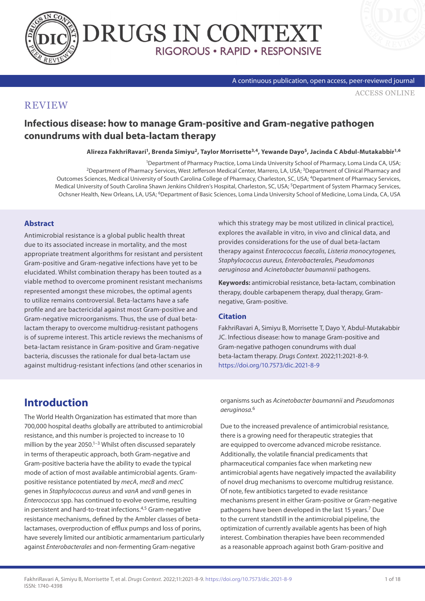



A continuous publication, open access, peer-reviewed journal

[ACCESS ONLINE](https://www.drugsincontext.com/infectious-disease-how-to-manage-gram-positive-and-gram-negative-pathogen-conundrums-with-dual-beta-lactam-therapy)

### **REVIEW**

**Infectious disease: how to manage Gram-positive and Gram-negative pathogen conundrums with dual beta-lactam therapy**

#### **Alireza FakhriRavari1, Brenda Simiyu2, Taylor Morrisette3,4, Yewande Dayo5, Jacinda C Abdul-Mutakabbir1,6**

1Department of Pharmacy Practice, Loma Linda University School of Pharmacy, Loma Linda CA, USA; 2Department of Pharmacy Services, West Jefferson Medical Center, Marrero, LA, USA; 3Department of Clinical Pharmacy and Outcomes Sciences, Medical University of South Carolina College of Pharmacy, Charleston, SC, USA; <sup>4</sup>Department of Pharmacy Services, Medical University of South Carolina Shawn Jenkins Children's Hospital, Charleston, SC, USA; <sup>5</sup>Department of System Pharmacy Services, Ochsner Health, New Orleans, LA, USA; 6Department of Basic Sciences, Loma Linda University School of Medicine, Loma Linda, CA, USA

#### **Abstract**

Antimicrobial resistance is a global public health threat due to its associated increase in mortality, and the most appropriate treatment algorithms for resistant and persistent Gram-positive and Gram-negative infections have yet to be elucidated. Whilst combination therapy has been touted as a viable method to overcome prominent resistant mechanisms represented amongst these microbes, the optimal agents to utilize remains controversial. Beta-lactams have a safe profile and are bactericidal against most Gram-positive and Gram-negative microorganisms. Thus, the use of dual betalactam therapy to overcome multidrug-resistant pathogens is of supreme interest. This article reviews the mechanisms of beta-lactam resistance in Gram-positive and Gram-negative bacteria, discusses the rationale for dual beta-lactam use against multidrug-resistant infections (and other scenarios in which this strategy may be most utilized in clinical practice), explores the available in vitro, in vivo and clinical data, and provides considerations for the use of dual beta-lactam therapy against *Enterococcus faecalis, Listeria monocytogenes, Staphylococcus aureus, Enterobacterales, Pseudomonas aeruginosa* and *Acinetobacter baumannii* pathogens.

**Keywords:** antimicrobial resistance, beta-lactam, combination therapy, double carbapenem therapy, dual therapy, Gramnegative, Gram-positive.

#### **Citation**

FakhriRavari A, Simiyu B, Morrisette T, Dayo Y, Abdul-Mutakabbir JC. Infectious disease: how to manage Gram-positive and Gram-negative pathogen conundrums with dual beta-lactam therapy. *Drugs Context*. 2022;11:2021-8-9. <https://doi.org/10.7573/dic.2021-8-9>

## **Introduction**

The World Health Organization has estimated that more than 700,000 hospital deaths globally are attributed to antimicrobial resistance, and this number is projected to increase to 10 million by the year 2050.<sup>1–3</sup> Whilst often discussed separately in terms of therapeutic approach, both Gram-negative and Gram-positive bacteria have the ability to evade the typical mode of action of most available antimicrobial agents. Grampositive resistance potentiated by *mecA*, *mecB* and *mecC* genes in *Staphylococcus aureus* and *vanA* and *vanB* genes in *Enterococcus* spp. has continued to evolve overtime, resulting in persistent and hard-to-treat infections.<sup>4,5</sup> Gram-negative resistance mechanisms, defined by the Ambler classes of betalactamases, overproduction of efflux pumps and loss of porins, have severely limited our antibiotic armamentarium particularly against *Enterobacterales* and non-fermenting Gram-negative

organisms such as *Acinetobacter baumannii* and *Pseudomonas aeruginosa.*<sup>6</sup>

Due to the increased prevalence of antimicrobial resistance, there is a growing need for therapeutic strategies that are equipped to overcome advanced microbe resistance. Additionally, the volatile financial predicaments that pharmaceutical companies face when marketing new antimicrobial agents have negatively impacted the availability of novel drug mechanisms to overcome multidrug resistance. Of note, few antibiotics targeted to evade resistance mechanisms present in either Gram-positive or Gram-negative pathogens have been developed in the last 15 years.<sup>7</sup> Due to the current standstill in the antimicrobial pipeline, the optimization of currently available agents has been of high interest. Combination therapies have been recommended as a reasonable approach against both Gram-positive and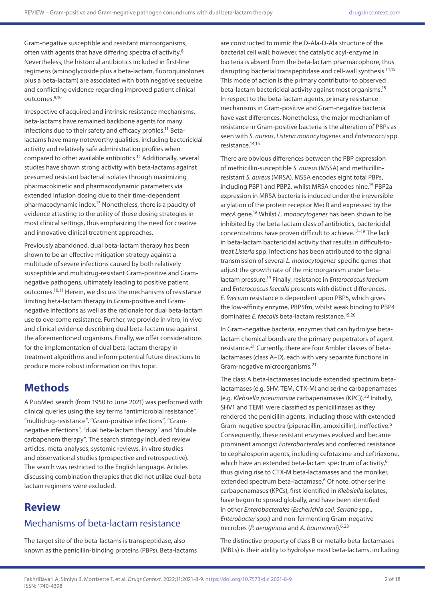Gram-negative susceptible and resistant microorganisms, often with agents that have differing spectra of activity.8 Nevertheless, the historical antibiotics included in first-line regimens (aminoglycoside plus a beta-lactam, fluoroquinolones plus a beta-lactam) are associated with both negative sequelae and conflicting evidence regarding improved patient clinical outcomes.9,10

Irrespective of acquired and intrinsic resistance mechanisms, beta-lactams have remained backbone agents for many infections due to their safety and efficacy profiles.11 Betalactams have many noteworthy qualities, including bactericidal activity and relatively safe administration profiles when compared to other available antibiotics.12 Additionally, several studies have shown strong activity with beta-lactams against presumed resistant bacterial isolates through maximizing pharmacokinetic and pharmacodynamic parameters via extended infusion dosing due to their time-dependent pharmacodynamic index.13 Nonetheless, there is a paucity of evidence attesting to the utility of these dosing strategies in most clinical settings, thus emphasizing the need for creative and innovative clinical treatment approaches.

Previously abandoned, dual beta-lactam therapy has been shown to be an effective mitigation strategy against a multitude of severe infections caused by both relatively susceptible and multidrug-resistant Gram-positive and Gramnegative pathogens, ultimately leading to positive patient outcomes.10,11 Herein, we discuss the mechanisms of resistance limiting beta-lactam therapy in Gram-positive and Gramnegative infections as well as the rationale for dual beta-lactam use to overcome resistance. Further, we provide in vitro, in vivo and clinical evidence describing dual beta-lactam use against the aforementioned organisms. Finally, we offer considerations for the implementation of dual beta-lactam therapy in treatment algorithms and inform potential future directions to produce more robust information on this topic.

# **Methods**

A PubMed search (from 1950 to June 2021) was performed with clinical queries using the key terms "antimicrobial resistance", "multidrug-resistance", "Gram-positive infections", "Gramnegative infections", "dual beta-lactam therapy" and "double carbapenem therapy". The search strategy included review articles, meta-analyses, systemic reviews, in vitro studies and observational studies (prospective and retrospective). The search was restricted to the English language. Articles discussing combination therapies that did not utilize dual-beta lactam regimens were excluded.

# **Review**

## Mechanisms of beta-lactam resistance

The target site of the beta-lactams is transpeptidase, also known as the penicillin-binding proteins (PBPs). Beta-lactams

are constructed to mimic the D-Ala-D-Ala structure of the bacterial cell wall; however, the catalytic acyl-enzyme in bacteria is absent from the beta-lactam pharmacophore, thus disrupting bacterial transpeptidase and cell-wall synthesis.14,15 This mode of action is the primary contributor to observed beta-lactam bactericidal activity against most organisms.15 In respect to the beta-lactam agents, primary resistance mechanisms in Gram-positive and Gram-negative bacteria have vast differences. Nonetheless, the major mechanism of resistance in Gram-positive bacteria is the alteration of PBPs as seen with *S. aureus*, *Listeria monocytogenes* and *Enterococci* spp. resistance.14,15

There are obvious differences between the PBP expression of methicillin-susceptible *S. aureus* (MSSA) and methicillinresistant *S. aureus* (MRSA). MSSA encodes eight total PBPs, including PBP1 and PBP2, whilst MRSA encodes nine.15 PBP2a expression in MRSA bacteria is induced under the irreversible acylation of the protein receptor MecR and expressed by the *mecA* gene.16 Whilst *L. monocytogenes* has been shown to be inhibited by the beta-lactam class of antibiotics, bactericidal concentrations have proven difficult to achieve.17–19 The lack in beta-lactam bactericidal activity that results in difficult-totreat *Listeria* spp. infections has been attributed to the signal transmission of several *L. monocytogenes*-specific genes that adjust the growth rate of the microorganism under betalactam pressure.19 Finally, resistance in *Enterococcus faecium* and *Enterococcus faecalis* presents with distinct differences*. E. faecium* resistance is dependent upon PBP5, which gives the low-affinity enzyme, PBP5fm, whilst weak binding to PBP4 dominates *E. faecalis* beta-lactam resistance.15,20

In Gram-negative bacteria, enzymes that can hydrolyse betalactam chemical bonds are the primary perpetrators of agent resistance.<sup>21</sup> Currently, there are four Ambler classes of betalactamases (class A–D), each with very separate functions in Gram-negative microorganisms.21

The class A beta-lactamases include extended spectrum betalactamases (e.g. SHV, TEM, CTX-M) and serine carbapenamases (e.g. *Klebsiella pneumoniae* carbapenamases (KPC)).22 Initially, SHV1 and TEM1 were classified as penicillinases as they rendered the penicillin agents, including those with extended Gram-negative spectra (piperacillin, amoxicillin), ineffective.6 Consequently, these resistant enzymes evolved and became prominent amongst *Enterobacterales* and conferred resistance to cephalosporin agents, including cefotaxime and ceftriaxone, which have an extended beta-lactam spectrum of activity.<sup>6</sup> thus giving rise to CTX-M beta-lactamases and the moniker, extended spectrum beta-lactamase.<sup>6</sup> Of note, other serine carbapenamases (KPCs), first identified in *Klebsiella* isolates, have begun to spread globally, and have been identified in other *Enterobacterales* (*Escherichia coli*, *Serratia* spp., *Enterobacter* spp.) and non-fermenting Gram-negative microbes (*P. aeruginosa* and *A. baumannii*).6,23

The distinctive property of class B or metallo beta-lactamases (MBLs) is their ability to hydrolyse most beta-lactams, including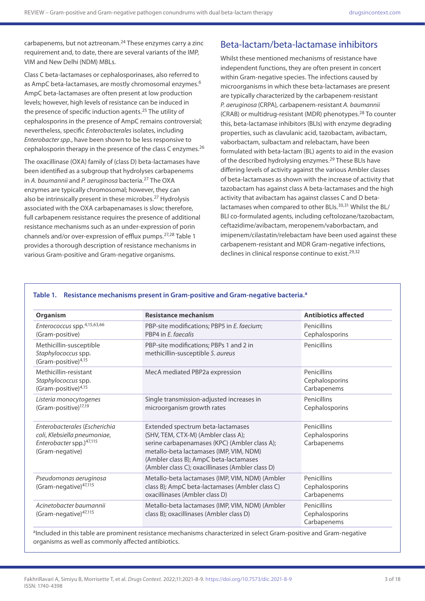carbapenems, but not aztreonam.<sup>24</sup> These enzymes carry a zinc requirement and, to date, there are several variants of the IMP, VIM and New Delhi (NDM) MBLs.

Class C beta-lactamases or cephalosporinases, also referred to as AmpC beta-lactamases, are mostly chromosomal enzymes.<sup>6</sup> AmpC beta-lactamases are often present at low production levels; however, high levels of resistance can be induced in the presence of specific induction agents.<sup>25</sup> The utility of cephalosporins in the presence of AmpC remains controversial; nevertheless, specific *Enterobacterales* isolates, including *Enterobacter spp*., have been shown to be less responsive to cephalosporin therapy in the presence of the class C enzymes.<sup>26</sup>

The oxacillinase (OXA) family of (class D) beta-lactamases have been identified as a subgroup that hydrolyses carbapenems in *A. baumannii* and *P. aeruginosa* bacteria.27 The OXA enzymes are typically chromosomal; however, they can also be intrinsically present in these microbes.<sup>27</sup> Hydrolysis associated with the OXA carbapenamases is slow; therefore, full carbapenem resistance requires the presence of additional resistance mechanisms such as an under-expression of porin channels and/or over-expression of efflux pumps.27,28 Table 1 provides a thorough description of resistance mechanisms in various Gram-positive and Gram-negative organisms.

### Beta-lactam/beta-lactamase inhibitors

Whilst these mentioned mechanisms of resistance have independent functions, they are often present in concert within Gram-negative species. The infections caused by microorganisms in which these beta-lactamases are present are typically characterized by the carbapenem-resistant *P. aeruginosa* (CRPA)*,* carbapenem-resistant *A. baumannii*  (CRAB) or multidrug-resistant (MDR) phenotypes.28 To counter this, beta-lactamase inhibitors (BLIs) with enzyme degrading properties, such as clavulanic acid, tazobactam, avibactam, vaborbactam, sulbactam and relebactam, have been formulated with beta-lactam (BL) agents to aid in the evasion of the described hydrolysing enzymes.<sup>29</sup> These BLIs have differing levels of activity against the various Ambler classes of beta-lactamases as shown with the increase of activity that tazobactam has against class A beta-lactamases and the high activity that avibactam has against classes C and D betalactamases when compared to other BLIs.<sup>30,31</sup> Whilst the BL/ BLI co-formulated agents, including ceftolozane/tazobactam, ceftazidime/avibactam, meropenem/vaborbactam, and imipenem/cilastatin/relebactam have been used against these carbapenem-resistant and MDR Gram-negative infections, declines in clinical response continue to exist.<sup>29,32</sup>

| <b>Organism</b>                                                                                              | <b>Resistance mechanism</b>                                                                                                                                                                                                                                        | <b>Antibiotics affected</b>                  |
|--------------------------------------------------------------------------------------------------------------|--------------------------------------------------------------------------------------------------------------------------------------------------------------------------------------------------------------------------------------------------------------------|----------------------------------------------|
| Enterococcus spp.4,15,63,66<br>(Gram-positive)                                                               | PBP-site modifications; PBP5 in E. faecium;<br>PBP4 in E. faecalis                                                                                                                                                                                                 | Penicillins<br>Cephalosporins                |
| Methicillin-susceptible<br>Staphylococcus spp.<br>(Gram-positive) $4,15$                                     | PBP-site modifications; PBPs 1 and 2 in<br>methicillin-susceptible S. aureus                                                                                                                                                                                       | Penicillins                                  |
| Methicillin-resistant<br>Staphylococcus spp.<br>(Gram-positive) <sup>4,15</sup>                              | MecA mediated PBP2a expression                                                                                                                                                                                                                                     | Penicillins<br>Cephalosporins<br>Carbapenems |
| Listeria monocytogenes<br>(Gram-positive) <sup>17,19</sup>                                                   | Single transmission-adjusted increases in<br>microorganism growth rates                                                                                                                                                                                            | Penicillins<br>Cephalosporins                |
| Enterobacterales (Escherichia<br>coli, Klebsiella pneumoniae,<br>Enterobacter spp.)47,115<br>(Gram-negative) | Extended spectrum beta-lactamases<br>(SHV, TEM, CTX-M) (Ambler class A);<br>serine carbapenamases (KPC) (Ambler class A);<br>metallo-beta lactamases (IMP, VIM, NDM)<br>(Ambler class B); AmpC beta-lactamases<br>(Ambler class C); oxacillinases (Ambler class D) | Penicillins<br>Cephalosporins<br>Carbapenems |
| Pseudomonas aeruginosa<br>(Gram-negative) <sup>47,115</sup>                                                  | Metallo-beta lactamases (IMP, VIM, NDM) (Ambler<br>class B); AmpC beta-lactamases (Ambler class C)<br>oxacillinases (Ambler class D)                                                                                                                               | Penicillins<br>Cephalosporins<br>Carbapenems |
| Acinetobacter baumannii<br>(Gram-negative) <sup>47,115</sup>                                                 | Metallo-beta lactamases (IMP, VIM, NDM) (Ambler<br>class B); oxacillinases (Ambler class D)                                                                                                                                                                        | Penicillins<br>Cephalosporins<br>Carbapenems |

#### **Table 1. Resistance mechanisms present in Gram-positive and Gram-negative bacteria.a**

aIncluded in this table are prominent resistance mechanisms characterized in select Gram-positive and Gram-negative organisms as well as commonly affected antibiotics.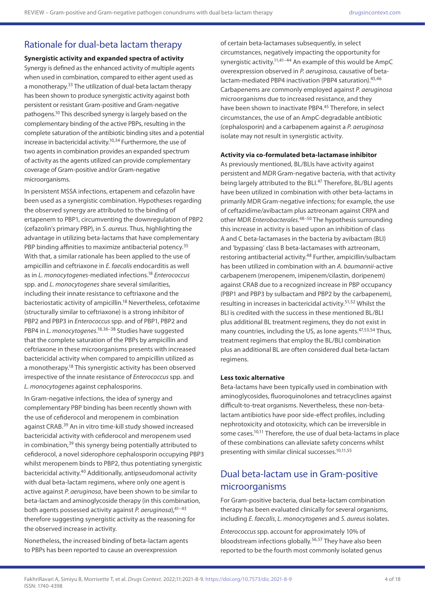### Rationale for dual-beta lactam therapy

**Synergistic activity and expanded spectra of activity** Synergy is defined as the enhanced activity of multiple agents when used in combination, compared to either agent used as a monotherapy.<sup>33</sup> The utilization of dual-beta lactam therapy has been shown to produce synergistic activity against both persistent or resistant Gram-positive and Gram-negative pathogens.10 This described synergy is largely based on the complementary binding of the active PBPs, resulting in the complete saturation of the antibiotic binding sites and a potential increase in bactericidal activity.10,34 Furthermore, the use of two agents in combination provides an expanded spectrum of activity as the agents utilized can provide complementary coverage of Gram-positive and/or Gram-negative microorganisms.

In persistent MSSA infections, ertapenem and cefazolin have been used as a synergistic combination. Hypotheses regarding the observed synergy are attributed to the binding of ertapenem to PBP1, circumventing the downregulation of PBP2 (cefazolin's primary PBP), in *S. aureus*. Thus, highlighting the advantage in utilizing beta-lactams that have complementary PBP binding affinities to maximize antibacterial potency.<sup>35</sup> With that, a similar rationale has been applied to the use of ampicillin and ceftriaxone in *E. faecalis* endocarditis as well as in *L. monocytogenes*-mediated infections.18 *Enterococcus*  spp. and *L. monocytogenes* share several similarities, including their innate resistance to ceftriaxone and the bacteriostatic activity of ampicillin.18 Nevertheless, cefotaxime (structurally similar to ceftriaxone) is a strong inhibitor of PBP2 and PBP3 in *Enterococcus* spp. and of PBP1, PBP2 and PBP4 in *L. monocytogenes*. 18,36–38 Studies have suggested that the complete saturation of the PBPs by ampicillin and ceftriaxone in these microorganisms presents with increased bactericidal activity when compared to ampicillin utilized as a monotherapy.18 This synergistic activity has been observed irrespective of the innate resistance of *Enterococcus* spp. and *L. monocytogenes* against cephalosporins.

In Gram-negative infections, the idea of synergy and complementary PBP binding has been recently shown with the use of cefiderocol and meropenem in combination against CRAB.39 An in vitro time-kill study showed increased bactericidal activity with cefiderocol and meropenem used in combination,39 this synergy being potentially attributed to cefiderocol, a novel siderophore cephalosporin occupying PBP3 whilst meropenem binds to PBP2, thus potentiating synergistic bactericidal activity.40 Additionally, antipseudomonal activity with dual beta-lactam regimens, where only one agent is active against *P. aeruginosa*, have been shown to be similar to beta-lactam and aminoglycoside therapy (in this combination, both agents possessed activity against *P. aeruginosa*), <sup>41-43</sup> therefore suggesting synergistic activity as the reasoning for the observed increase in activity.

Nonetheless, the increased binding of beta-lactam agents to PBPs has been reported to cause an overexpression

of certain beta-lactamases subsequently, in select circumstances, negatively impacting the opportunity for synergistic activity.<sup>11,41–44</sup> An example of this would be  $AmpC$ overexpression observed in *P. aeruginosa,* causative of betalactam-mediated PBP4 inactivation (PBP4 saturation).<sup>45,46</sup> Carbapenems are commonly employed against *P. aeruginosa* microorganisms due to increased resistance, and they have been shown to inactivate PBP4.<sup>45</sup> Therefore, in select circumstances, the use of an AmpC-degradable antibiotic (cephalosporin) and a carbapenem against a *P. aeruginosa* isolate may not result in synergistic activity.

#### **Activity via co-formulated beta-lactamase inhibitor**

As previously mentioned, BL/BLIs have activity against persistent and MDR Gram-negative bacteria, with that activity being largely attributed to the BLI.<sup>47</sup> Therefore, BL/BLI agents have been utilized in combination with other beta-lactams in primarily MDR Gram-negative infections; for example, the use of ceftazidime/avibactam plus aztreonam against CRPA and other MDR *Enterobacterales*. 48–50 The hypothesis surrounding this increase in activity is based upon an inhibition of class A and C beta-lactamases in the bacteria by avibactam (BLI) and 'bypassing' class B beta-lactamases with aztreonam, restoring antibacterial activity.<sup>48</sup> Further, ampicillin/sulbactam has been utilized in combination with an *A. baumannii*-active carbapenem (meropenem, imipenem/cilastin, doripenem) against CRAB due to a recognized increase in PBP occupancy (PBP1 and PBP3 by sulbactam and PBP2 by the carbapenem), resulting in increases in bactericidal activity.<sup>51,52</sup> Whilst the BLI is credited with the success in these mentioned BL/BLI plus additional BL treatment regimens, they do not exist in many countries, including the US, as lone agents.<sup>47,53,54</sup> Thus, treatment regimens that employ the BL/BLI combination plus an additional BL are often considered dual beta-lactam regimens.

#### **Less toxic alternative**

Beta-lactams have been typically used in combination with aminoglycosides, fluoroquinolones and tetracyclines against difficult-to-treat organisms. Nevertheless, these non-betalactam antibiotics have poor side-effect profiles, including nephrotoxicity and ototoxicity, which can be irreversible in some cases.<sup>10,11</sup> Therefore, the use of dual beta-lactams in place of these combinations can alleviate safety concerns whilst presenting with similar clinical successes.10,11,55

### Dual beta-lactam use in Gram-positive microorganisms

For Gram-positive bacteria, dual beta-lactam combination therapy has been evaluated clinically for several organisms, including *E. faecalis*, *L. monocytogenes* and *S. aureus* isolates.

*Enterococcus* spp. account for approximately 10% of bloodstream infections globally.56,57 They have also been reported to be the fourth most commonly isolated genus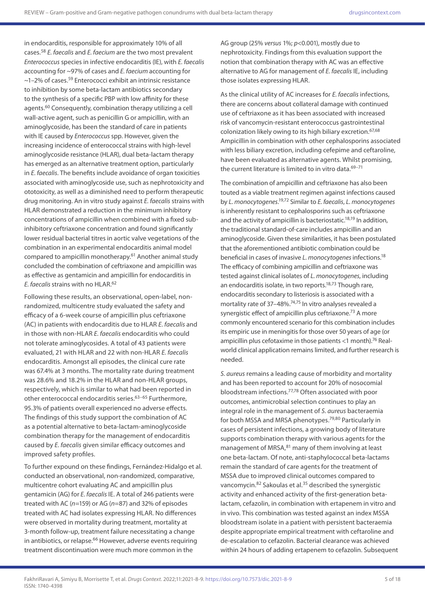in endocarditis, responsible for approximately 10% of all cases.58 *E. faecalis* and *E. faecium* are the two most prevalent *Enterococcus* species in infective endocarditis (IE), with *E. faecalis* accounting for ~97% of cases and *E. faecium* accounting for  $\sim$ 1–2% of cases.<sup>59</sup> Enterococci exhibit an intrinsic resistance to inhibition by some beta-lactam antibiotics secondary to the synthesis of a specific PBP with low affinity for these agents.60 Consequently, combination therapy utilizing a cell wall-active agent, such as penicillin G or ampicillin, with an aminoglycoside, has been the standard of care in patients with IE caused by *Enterococcus* spp. However, given the increasing incidence of enterococcal strains with high-level aminoglycoside resistance (HLAR), dual beta-lactam therapy has emerged as an alternative treatment option, particularly in *E. faecalis*. The benefits include avoidance of organ toxicities associated with aminoglycoside use, such as nephrotoxicity and ototoxicity, as well as a diminished need to perform therapeutic drug monitoring. An in vitro study against *E. faecalis* strains with HLAR demonstrated a reduction in the minimum inhibitory concentrations of ampicillin when combined with a fixed subinhibitory ceftriaxone concentration and found significantly lower residual bacterial titres in aortic valve vegetations of the combination in an experimental endocarditis animal model compared to ampicillin monotherapy.61 Another animal study concluded the combination of ceftriaxone and ampicillin was as effective as gentamicin and ampicillin for endocarditis in *E. faecalis* strains with no HLAR.62

Following these results, an observational, open-label, nonrandomized, multicentre study evaluated the safety and efficacy of a 6-week course of ampicillin plus ceftriaxone (AC) in patients with endocarditis due to HLAR *E. faecalis* and in those with non-HLAR *E. faecalis* endocarditis who could not tolerate aminoglycosides. A total of 43 patients were evaluated, 21 with HLAR and 22 with non-HLAR *E. faecalis* endocarditis. Amongst all episodes, the clinical cure rate was 67.4% at 3 months. The mortality rate during treatment was 28.6% and 18.2% in the HLAR and non-HLAR groups, respectively, which is similar to what had been reported in other enterococcal endocarditis series.<sup>63-65</sup> Furthermore. 95.3% of patients overall experienced no adverse effects. The findings of this study support the combination of AC as a potential alternative to beta-lactam-aminoglycoside combination therapy for the management of endocarditis caused by *E. faecalis* given similar efficacy outcomes and improved safety profiles.

To further expound on these findings, Fernández-Hidalgo et al. conducted an observational, non-randomized, comparative, multicentre cohort evaluating AC and ampicillin plus gentamicin (AG) for *E. faecalis* IE. A total of 246 patients were treated with AC (*n*=159) or AG (*n*=87) and 32% of episodes treated with AC had isolates expressing HLAR. No differences were observed in mortality during treatment, mortality at 3-month follow-up, treatment failure necessitating a change in antibiotics, or relapse.<sup>66</sup> However, adverse events requiring treatment discontinuation were much more common in the

AG group (25% *versus* 1%; *p*<0.001), mostly due to nephrotoxicity. Findings from this evaluation support the notion that combination therapy with AC was an effective alternative to AG for management of *E. faecalis* IE, including those isolates expressing HLAR.

As the clinical utility of AC increases for *E. faecalis* infections, there are concerns about collateral damage with continued use of ceftriaxone as it has been associated with increased risk of vancomycin-resistant enterococcus gastrointestinal colonization likely owing to its high biliary excretion.<sup>67,68</sup> Ampicillin in combination with other cephalosporins associated with less biliary excretion, including cefepime and ceftaroline, have been evaluated as alternative agents. Whilst promising, the current literature is limited to in vitro data.<sup>69-71</sup>

The combination of ampicillin and ceftriaxone has also been touted as a viable treatment regimen against infections caused by *L. monocytogenes*. 19,72 Similar to *E. faecalis*, *L. monocytogenes* is inherently resistant to cephalosporins such as ceftriaxone and the activity of ampicillin is bacteriostatic.<sup>18,19</sup> In addition, the traditional standard-of-care includes ampicillin and an aminoglycoside. Given these similarities, it has been postulated that the aforementioned antibiotic combination could be beneficial in cases of invasive *L. monocytogenes* infections.18 The efficacy of combining ampicillin and ceftriaxone was tested against clinical isolates of *L. monocytogenes*, including an endocarditis isolate, in two reports.<sup>18,73</sup> Though rare, endocarditis secondary to listeriosis is associated with a mortality rate of 37–48%.74,75 In vitro analyses revealed a synergistic effect of ampicillin plus ceftriaxone.<sup>73</sup> A more commonly encountered scenario for this combination includes its empiric use in meningitis for those over 50 years of age (or ampicillin plus cefotaxime in those patients  $<$ 1 month).<sup>76</sup> Realworld clinical application remains limited, and further research is needed.

*S. aureus* remains a leading cause of morbidity and mortality and has been reported to account for 20% of nosocomial bloodstream infections.77,78 Often associated with poor outcomes, antimicrobial selection continues to play an integral role in the management of *S. aureus* bacteraemia for both MSSA and MRSA phenotypes.79,80 Particularly in cases of persistent infections, a growing body of literature supports combination therapy with various agents for the management of MRSA, <sup>81</sup> many of them involving at least one beta-lactam. Of note, anti-staphylococcal beta-lactams remain the standard of care agents for the treatment of MSSA due to improved clinical outcomes compared to vancomycin.82 Sakoulas et al.35 described the synergistic activity and enhanced activity of the first-generation betalactam, cefazolin, in combination with ertapenem in vitro and in vivo. This combination was tested against an index MSSA bloodstream isolate in a patient with persistent bacteraemia despite appropriate empirical treatment with ceftaroline and de-escalation to cefazolin. Bacterial clearance was achieved within 24 hours of adding ertapenem to cefazolin. Subsequent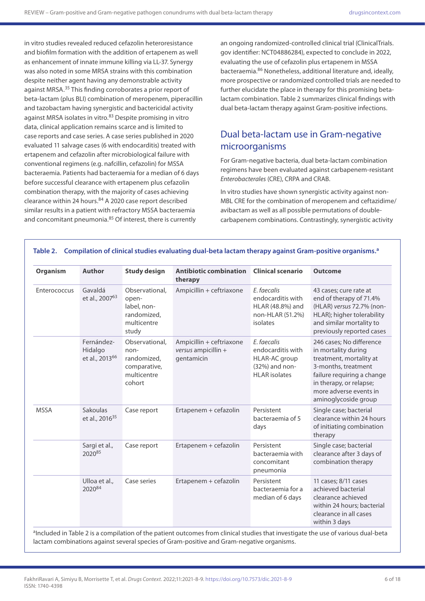in vitro studies revealed reduced cefazolin heteroresistance and biofilm formation with the addition of ertapenem as well as enhancement of innate immune killing via LL-37. Synergy was also noted in some MRSA strains with this combination despite neither agent having any demonstrable activity against MRSA.<sup>35</sup> This finding corroborates a prior report of beta-lactam (plus BLI) combination of meropenem, piperacillin and tazobactam having synergistic and bactericidal activity against MRSA isolates in vitro.<sup>83</sup> Despite promising in vitro data, clinical application remains scarce and is limited to case reports and case series. A case series published in 2020 evaluated 11 salvage cases (6 with endocarditis) treated with ertapenem and cefazolin after microbiological failure with conventional regimens (e.g. nafcillin, cefazolin) for MSSA bacteraemia. Patients had bacteraemia for a median of 6 days before successful clearance with ertapenem plus cefazolin combination therapy, with the majority of cases achieving clearance within 24 hours.<sup>84</sup> A 2020 case report described similar results in a patient with refractory MSSA bacteraemia and concomitant pneumonia.<sup>85</sup> Of interest, there is currently

an ongoing randomized-controlled clinical trial (ClinicalTrials. gov identifier: NCT04886284), expected to conclude in 2022, evaluating the use of cefazolin plus ertapenem in MSSA bacteraemia.86 Nonetheless, additional literature and, ideally, more prospective or randomized controlled trials are needed to further elucidate the place in therapy for this promising betalactam combination. Table 2 summarizes clinical findings with dual beta-lactam therapy against Gram-positive infections.

## Dual beta-lactam use in Gram-negative microorganisms

For Gram-negative bacteria, dual beta-lactam combination regimens have been evaluated against carbapenem-resistant *Enterobacterales* (CRE), CRPA and CRAB.

In vitro studies have shown synergistic activity against non-MBL CRE for the combination of meropenem and ceftazidime/ avibactam as well as all possible permutations of doublecarbapenem combinations. Contrastingly, synergistic activity

| Organism     | <b>Author</b>                                       | <b>Study design</b>                                                            | <b>Antibiotic combination</b><br>therapy                      | <b>Clinical scenario</b>                                                                    | <b>Outcome</b>                                                                                                                                                                                               |
|--------------|-----------------------------------------------------|--------------------------------------------------------------------------------|---------------------------------------------------------------|---------------------------------------------------------------------------------------------|--------------------------------------------------------------------------------------------------------------------------------------------------------------------------------------------------------------|
| Enterococcus | Gavaldá<br>et al., 2007 <sup>63</sup>               | Observational,<br>open-<br>label, non-<br>randomized,<br>multicentre<br>study  | Ampicillin + ceftriaxone                                      | E. faecalis<br>endocarditis with<br>HLAR (48.8%) and<br>non-HLAR (51.2%)<br>isolates        | 43 cases; cure rate at<br>end of therapy of 71.4%<br>(HLAR) versus 72.7% (non-<br>HLAR); higher tolerability<br>and similar mortality to<br>previously reported cases                                        |
|              | Fernández-<br>Hidalgo<br>et al., 2013 <sup>66</sup> | Observational,<br>non-<br>randomized,<br>comparative,<br>multicentre<br>cohort | Ampicillin + ceftriaxone<br>versus ampicillin +<br>gentamicin | E. faecalis<br>endocarditis with<br>HLAR-AC group<br>(32%) and non-<br><b>HLAR</b> isolates | 246 cases; No difference<br>in mortality during<br>treatment, mortality at<br>3-months, treatment<br>failure requiring a change<br>in therapy, or relapse;<br>more adverse events in<br>aminoglycoside group |
| <b>MSSA</b>  | Sakoulas<br>et al., 2016 <sup>35</sup>              | Case report                                                                    | Ertapenem + cefazolin                                         | Persistent<br>bacteraemia of 5<br>days                                                      | Single case; bacterial<br>clearance within 24 hours<br>of initiating combination<br>therapy                                                                                                                  |
|              | Sargi et al.,<br>202085                             | Case report                                                                    | Ertapenem + cefazolin                                         | Persistent<br>bacteraemia with<br>concomitant<br>pneumonia                                  | Single case; bacterial<br>clearance after 3 days of<br>combination therapy                                                                                                                                   |
|              | Ulloa et al.,<br>202084                             | Case series                                                                    | Ertapenem + cefazolin                                         | Persistent<br>bacteraemia for a<br>median of 6 days                                         | 11 cases; 8/11 cases<br>achieved bacterial<br>clearance achieved<br>within 24 hours; bacterial<br>clearance in all cases<br>within 3 days                                                                    |

**Table 2. Compilation of clinical studies evaluating dual-beta lactam therapy against Gram-positive organisms.a**

aIncluded in Table 2 is a compilation of the patient outcomes from clinical studies that investigate the use of various dual-beta lactam combinations against several species of Gram-positive and Gram-negative organisms.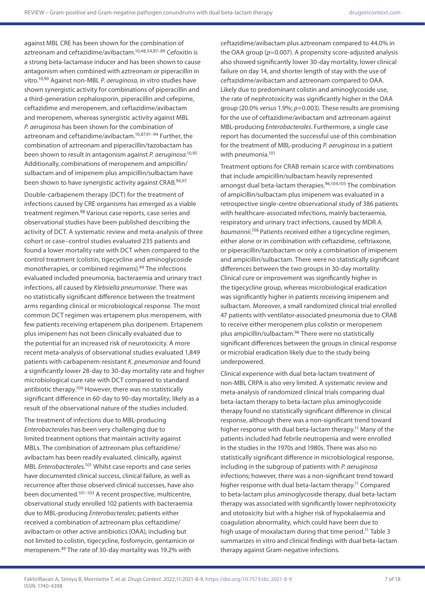against MBL CRE has been shown for the combination of aztreonam and ceftazidime/avibactam.10,48,54,87–89 Cefoxitin is a strong beta-lactamase inducer and has been shown to cause antagonism when combined with aztreonam or piperacillin in vitro.10,90 Against non-MBL *P. aeruginosa*, in vitro studies have shown synergistic activity for combinations of piperacillin and a third-generation cephalosporin, piperacillin and cefepime, ceftazidime and meropenem, and ceftazidime/avibactam and meropenem, whereas synergistic activity against MBL *P. aeruginosa* has been shown for the combination of aztreonam and ceftazidime/avibactam.10,87,91–94 Further, the combination of aztreonam and piperacillin/tazobactam has been shown to result in antagonism against *P. aeruginosa*. 10,95 Additionally, combinations of meropenem and ampicillin/ sulbactam and of imipenem plus ampicillin/sulbactam have been shown to have synergistic activity against CRAB.96,97

Double-carbapenem therapy (DCT) for the treatment of infections caused by CRE organisms has emerged as a viable treatment regimen.98 Various case reports, case series and observational studies have been published describing the activity of DCT. A systematic review and meta-analysis of three cohort or case–control studies evaluated 235 patients and found a lower mortality rate with DCT when compared to the control treatment (colistin, tigecycline and aminoglycoside monotherapies, or combined regimens).99 The infections evaluated included pneumonia, bacteraemia and urinary tract infections, all caused by *Klebsiella pneumoniae*. There was no statistically significant difference between the treatment arms regarding clinical or microbiological response. The most common DCT regimen was ertapenem plus meropenem, with few patients receiving ertapenem plus doripenem. Ertapenem plus imipenem has not been clinically evaluated due to the potential for an increased risk of neurotoxicity. A more recent meta-analysis of observational studies evaluated 1,849 patients with carbapenem-resistant *K. pneumoniae* and found a significantly lower 28-day to 30-day mortality rate and higher microbiological cure rate with DCT compared to standard antibiotic therapy.100 However, there was no statistically significant difference in 60-day to 90-day mortality, likely as a result of the observational nature of the studies included.

The treatment of infections due to MBL-producing *Enterobacterales* has been very challenging due to limited treatment options that maintain activity against MBLs. The combination of aztreonam plus ceftazidime/ avibactam has been readily evaluated, clinically, against MBL *Enterobacterale*s.101 Whilst case reports and case series have documented clinical success, clinical failure, as well as recurrence after those observed clinical successes, have also been documented.101–103 A recent prospective, multicentre, observational study enrolled 102 patients with bacteraemia due to MBL-producing *Enterobacterales*; patients either received a combination of aztreonam plus ceftazidime/ avibactam or other active antibiotics (OAA), including but not limited to colistin, tigecycline, fosfomycin, gentamicin or meropenem.49 The rate of 30-day mortality was 19.2% with

ceftazidime/avibactam plus aztreonam compared to 44.0% in the OAA group (*p*=0.007). A propensity score-adjusted analysis also showed significantly lower 30-day mortality, lower clinical failure on day 14, and shorter length of stay with the use of ceftazidime/avibactam and aztreonam compared to OAA. Likely due to predominant colistin and aminoglycoside use, the rate of nephrotoxicity was significantly higher in the OAA group (20.0% *versus* 1.9%; *p*=0.003). These results are promising for the use of ceftazidime/avibactam and aztreonam against MBL-producing *Enterobacterales*. Furthermore, a single case report has documented the successful use of this combination for the treatment of MBL-producing *P. aeruginosa* in a patient with pneumonia.<sup>101</sup>

Treatment options for CRAB remain scarce with combinations that include ampicillin/sulbactam heavily represented amongst dual beta-lactam therapies.96,104,105 The combination of ampicillin/sulbactam plus imipenem was evaluated in a retrospective single-centre observational study of 386 patients with healthcare-associated infections, mainly bacteraemia, respiratory and urinary tract infections, caused by MDR *A. baumannii*. <sup>106</sup> Patients received either a tigecycline regimen, either alone or in combination with ceftazidime, ceftriaxone, or piperacillin/tazobactam or only a combination of imipenem and ampicillin/sulbactam. There were no statistically significant differences between the two groups in 30-day mortality. Clinical cure or improvement was significantly higher in the tigecycline group, whereas microbiological eradication was significantly higher in patients receiving imipenem and sulbactam. Moreover, a small randomized clinical trial enrolled 47 patients with ventilator-associated pneumonia due to CRAB to receive either meropenem plus colistin or meropenem plus ampicillin/sulbactam.96 There were no statistically significant differences between the groups in clinical response or microbial eradication likely due to the study being underpowered.

Clinical experience with dual beta-lactam treatment of non-MBL CRPA is also very limited. A systematic review and meta-analysis of randomized clinical trials comparing dual beta-lactam therapy to beta-lactam plus aminoglycoside therapy found no statistically significant difference in clinical response, although there was a non-significant trend toward higher response with dual beta-lactam therapy.<sup>11</sup> Many of the patients included had febrile neutropenia and were enrolled in the studies in the 1970s and 1980s. There was also no statistically significant difference in microbiological response, including in the subgroup of patients with *P. aeruginosa* infections; however, there was a non-significant trend toward higher response with dual beta-lactam therapy.<sup>11</sup> Compared to beta-lactam plus aminoglycoside therapy, dual beta-lactam therapy was associated with significantly lower nephrotoxicity and ototoxicity but with a higher risk of hypokalaemia and coagulation abnormality, which could have been due to high usage of moxalactam during that time period.<sup>11</sup> Table 3 summarizes in vitro and clinical findings with dual beta-lactam therapy against Gram-negative infections.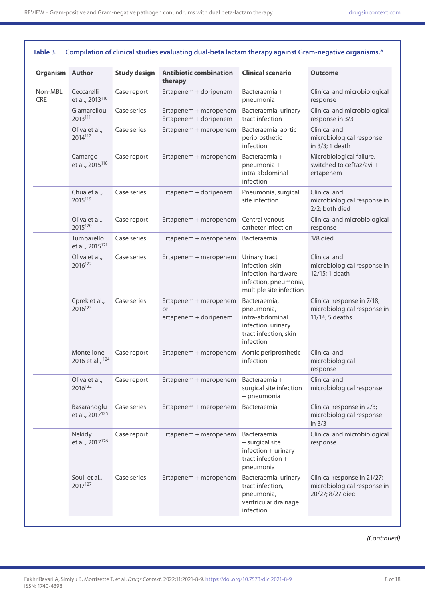| <b>Organism Author</b> |                                            | <b>Study design</b> | <b>Antibiotic combination</b><br>therapy             | <b>Clinical scenario</b>                                                                                    | <b>Outcome</b>                                                                 |
|------------------------|--------------------------------------------|---------------------|------------------------------------------------------|-------------------------------------------------------------------------------------------------------------|--------------------------------------------------------------------------------|
| Non-MBL<br>CRE         | Ceccarelli<br>et al., 2013 <sup>116</sup>  | Case report         | Ertapenem + doripenem                                | Bacteraemia +<br>pneumonia                                                                                  | Clinical and microbiological<br>response                                       |
|                        | Giamarellou<br>2013111                     | Case series         | Ertapenem + meropenem<br>Ertapenem + doripenem       | Bacteraemia, urinary<br>tract infection                                                                     | Clinical and microbiological<br>response in 3/3                                |
|                        | Oliva et al.,<br>2014117                   | Case series         | Ertapenem + meropenem                                | Bacteraemia, aortic<br>periprosthetic<br>infection                                                          | Clinical and<br>microbiological response<br>in 3/3; 1 death                    |
|                        | Camargo<br>et al., 2015 <sup>118</sup>     | Case report         | Ertapenem + meropenem                                | Bacteraemia +<br>pneumonia +<br>intra-abdominal<br>infection                                                | Microbiological failure,<br>switched to ceftaz/avi +<br>ertapenem              |
|                        | Chua et al.,<br>2015119                    | Case series         | Ertapenem + doripenem                                | Pneumonia, surgical<br>site infection                                                                       | Clinical and<br>microbiological response in<br>2/2; both died                  |
|                        | Oliva et al.,<br>2015120                   | Case report         | Ertapenem + meropenem                                | Central venous<br>catheter infection                                                                        | Clinical and microbiological<br>response                                       |
|                        | Tumbarello<br>et al., 2015 <sup>121</sup>  | Case series         | Ertapenem + meropenem                                | Bacteraemia                                                                                                 | 3/8 died                                                                       |
|                        | Oliva et al.,<br>2016 <sup>122</sup>       | Case series         | Ertapenem + meropenem                                | Urinary tract<br>infection, skin<br>infection, hardware<br>infection, pneumonia,<br>multiple site infection | Clinical and<br>microbiological response in<br>12/15; 1 death                  |
|                        | Cprek et al.,<br>2016 <sup>123</sup>       | Case series         | Ertapenem + meropenem<br>or<br>ertapenem + doripenem | Bacteraemia,<br>pneumonia,<br>intra-abdominal<br>infection, urinary<br>tract infection, skin<br>infection   | Clinical response in 7/18;<br>microbiological response in<br>11/14; 5 deaths   |
|                        | Montelione<br>2016 et al., 124             | Case report         | Ertapenem + meropenem                                | Aortic periprosthetic<br>infection                                                                          | Clinical and<br>microbiological<br>response                                    |
|                        | Oliva et al.,<br>2016122                   | Case report         | Ertapenem + meropenem                                | Bacteraemia +<br>surgical site infection<br>+ pneumonia                                                     | Clinical and<br>microbiological response                                       |
|                        | Basaranoglu<br>et al., 2017 <sup>125</sup> | Case series         | Ertapenem + meropenem                                | Bacteraemia                                                                                                 | Clinical response in 2/3;<br>microbiological response<br>in $3/3$              |
|                        | Nekidy<br>et al., 2017 <sup>126</sup>      | Case report         | Ertapenem + meropenem                                | Bacteraemia<br>+ surgical site<br>$inflection + urinary$<br>tract infection $+$<br>pneumonia                | Clinical and microbiological<br>response                                       |
|                        | Souli et al.,<br>2017 <sup>127</sup>       | Case series         | Ertapenem + meropenem                                | Bacteraemia, urinary<br>tract infection,<br>pneumonia,<br>ventricular drainage<br>infection                 | Clinical response in 21/27;<br>microbiological response in<br>20/27; 8/27 died |

Table 3. Compilation of clinical studies evaluating dual-beta lactam therapy against Gram-negative organisms.<sup>a</sup>

*(Continued)*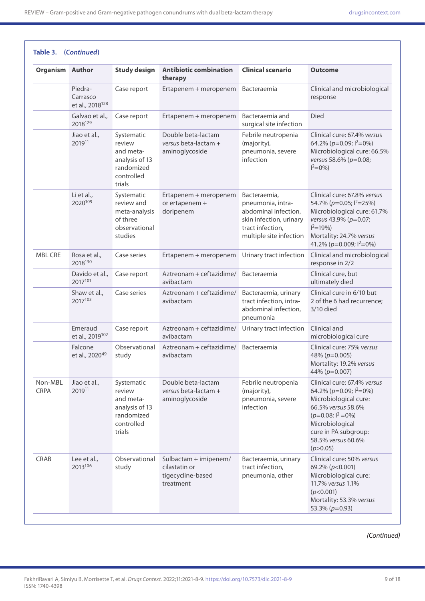| <b>Organism Author</b> |                                                    | <b>Study design</b>                                                                       | <b>Antibiotic combination</b><br>therapy                                 | <b>Clinical scenario</b>                                                                                                            | Outcome                                                                                                                                                                                                             |
|------------------------|----------------------------------------------------|-------------------------------------------------------------------------------------------|--------------------------------------------------------------------------|-------------------------------------------------------------------------------------------------------------------------------------|---------------------------------------------------------------------------------------------------------------------------------------------------------------------------------------------------------------------|
|                        | Piedra-<br>Carrasco<br>et al., 2018 <sup>128</sup> | Case report                                                                               | Ertapenem + meropenem                                                    | Bacteraemia                                                                                                                         | Clinical and microbiological<br>response                                                                                                                                                                            |
|                        | Galvao et al.,<br>2018129                          | Case report                                                                               | Ertapenem + meropenem                                                    | Bacteraemia and<br>surgical site infection                                                                                          | <b>Died</b>                                                                                                                                                                                                         |
|                        | Jiao et al.,<br>201911                             | Systematic<br>review<br>and meta-<br>analysis of 13<br>randomized<br>controlled<br>trials | Double beta-lactam<br>versus beta-lactam +<br>aminoglycoside             | Febrile neutropenia<br>(majority),<br>pneumonia, severe<br>infection                                                                | Clinical cure: 67.4% versus<br>64.2% ( $p=0.09$ ; $1^2=0$ %)<br>Microbiological cure: 66.5%<br>versus 58.6% (p=0.08;<br>$1^2=0\%$ )                                                                                 |
|                        | Li et al.,<br>2020109                              | Systematic<br>review and<br>meta-analysis<br>of three<br>observational<br>studies         | Ertapenem + meropenem<br>or ertapenem +<br>doripenem                     | Bacteraemia,<br>pneumonia, intra-<br>abdominal infection,<br>skin infection, urinary<br>tract infection,<br>multiple site infection | Clinical cure: 67.8% versus<br>54.7% (p=0.05; l <sup>2</sup> =25%)<br>Microbiological cure: 61.7%<br>versus 43.9% (p=0.07;<br>$1^2$ =19%)<br>Mortality: 24.7% versus<br>41.2% ( $p=0.009$ ; $1^2=0$ %)              |
| <b>MBL CRE</b>         | Rosa et al.,<br>2018130                            | Case series                                                                               | Ertapenem + meropenem                                                    | Urinary tract infection                                                                                                             | Clinical and microbiological<br>response in 2/2                                                                                                                                                                     |
|                        | Davido et al.,<br>2017101                          | Case report                                                                               | Aztreonam + ceftazidime/<br>avibactam                                    | Bacteraemia                                                                                                                         | Clinical cure, but<br>ultimately died                                                                                                                                                                               |
|                        | Shaw et al.,<br>2017103                            | Case series                                                                               | Aztreonam + ceftazidime/<br>avibactam                                    | Bacteraemia, urinary<br>tract infection, intra-<br>abdominal infection,<br>pneumonia                                                | Clinical cure in 6/10 but<br>2 of the 6 had recurrence;<br>3/10 died                                                                                                                                                |
|                        | Emeraud<br>et al., 2019 <sup>102</sup>             | Case report                                                                               | Aztreonam + ceftazidime/<br>avibactam                                    | Urinary tract infection                                                                                                             | Clinical and<br>microbiological cure                                                                                                                                                                                |
|                        | Falcone<br>et al., 2020 <sup>49</sup>              | Observational<br>study                                                                    | Aztreonam + ceftazidime/<br>avibactam                                    | Bacteraemia                                                                                                                         | Clinical cure: 75% versus<br>48% ( $p=0.005$ )<br>Mortality: 19.2% versus<br>44% (p=0.007)                                                                                                                          |
| Non-MBL<br><b>CRPA</b> | Jiao et al.,<br>201911                             | Systematic<br>review<br>and meta-<br>analysis of 13<br>randomized<br>controlled<br>trials | Double beta-lactam<br>versus beta-lactam +<br>aminoglycoside             | Febrile neutropenia<br>(majority),<br>pneumonia, severe<br>infection                                                                | Clinical cure: 67.4% versus<br>64.2% ( $p=0.09$ ; $\binom{2}{0}$<br>Microbiological cure:<br>66.5% versus 58.6%<br>$(p=0.08; l^2=0\%)$<br>Microbiological<br>cure in PA subgroup:<br>58.5% versus 60.6%<br>(p>0.05) |
| <b>CRAB</b>            | Lee et al.,<br>2013106                             | Observational<br>study                                                                    | Sulbactam + imipenem/<br>cilastatin or<br>tigecycline-based<br>treatment | Bacteraemia, urinary<br>tract infection,<br>pneumonia, other                                                                        | Clinical cure: 50% versus<br>69.2% (p<0.001)<br>Microbiological cure:<br>11.7% versus 1.1%<br>(p<0.001)<br>Mortality: 53.3% versus<br>53.3% ( $p=0.93$ )                                                            |

*(Continued)*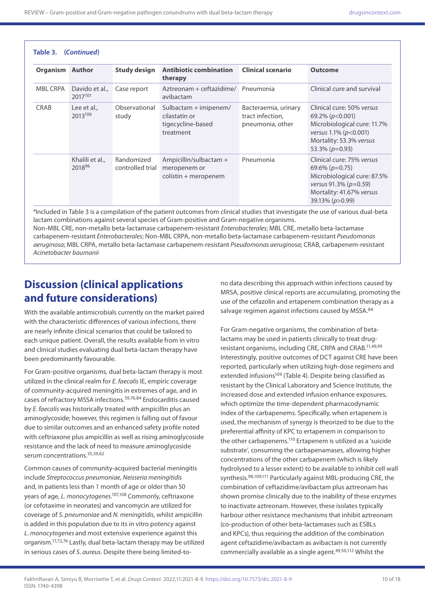| Table 3.<br>(Continued) |                                       |                                |                                                                            |                                                              |                                                                                                                                                               |  |
|-------------------------|---------------------------------------|--------------------------------|----------------------------------------------------------------------------|--------------------------------------------------------------|---------------------------------------------------------------------------------------------------------------------------------------------------------------|--|
| Organism                | Author                                | <b>Study design</b>            | <b>Antibiotic combination</b><br>therapy                                   | <b>Clinical scenario</b>                                     | <b>Outcome</b>                                                                                                                                                |  |
| <b>MBL CRPA</b>         | Davido et al.,<br>2017 <sup>101</sup> | Case report                    | Aztreonam + ceftazidime/<br>avibactam                                      | Pneumonia                                                    | Clinical cure and survival                                                                                                                                    |  |
| <b>CRAB</b>             | Lee et al.,<br>2013106                | Observational<br>study         | Sulbactam $+$ imipenem/<br>cilastatin or<br>tigecycline-based<br>treatment | Bacteraemia, urinary<br>tract infection,<br>pneumonia, other | Clinical cure: 50% versus<br>69.2% ( $p<0.001$ )<br>Microbiological cure: 11.7%<br>versus $1.1\%$ (p<0.001)<br>Mortality: 53.3% versus<br>53.3% ( $p=0.93$ )  |  |
|                         | Khalili et al.,<br>201896             | Randomized<br>controlled trial | Ampicillin/sulbactam $+$<br>meropenem or<br>$colistin + meropenem$         | Pneumonia                                                    | Clinical cure: 75% versus<br>$69.6\%$ ( $p=0.75$ )<br>Microbiological cure: 87.5%<br>versus 91.3% ( $p=0.59$ )<br>Mortality: 41.67% versus<br>39.13% (p>0.99) |  |

aIncluded in Table 3 is a compilation of the patient outcomes from clinical studies that investigate the use of various dual-beta lactam combinations against several species of Gram-positive and Gram-negative organisms.

Non-MBL CRE, non-metallo beta-lactamase carbapenem-resistant *Enterobacterales*; MBL CRE, metallo beta-lactamase carbapenem-resistant *Enterobacterales*; Non-MBL CRPA, non-metallo beta-lactamase carbapenem-resistant *Pseudomonas aeruginosa*; MBL CRPA, metallo beta-lactamase carbapenem-resistant *Pseudomonas aeruginosa*; CRAB, carbapenem-resistant *Acinetobacter baumanii*

## **Discussion (clinical applications and future considerations)**

With the available antimicrobials currently on the market paired with the characteristic differences of various infections, there are nearly infinite clinical scenarios that could be tailored to each unique patient. Overall, the results available from in vitro and clinical studies evaluating dual beta-lactam therapy have been predominantly favourable.

For Gram-positive organisms, dual beta-lactam therapy is most utilized in the clinical realm for *E. faecalis* IE, empiric coverage of community-acquired meningitis in extremes of age, and in cases of refractory MSSA infections.59,76,84 Endocarditis caused by *E. faecalis* was historically treated with ampicillin plus an aminoglycoside; however, this regimen is falling out of favour due to similar outcomes and an enhanced safety profile noted with ceftriaxone plus ampicillin as well as rising aminoglycoside resistance and the lack of need to measure aminoglycoside serum concentrations.55,59,62

Common causes of community-acquired bacterial meningitis include *Streptococcus pneumoniae*, *Neisseria meningitidis*  and, in patients less than 1 month of age or older than 50 years of age, *L. monocytogenes*. 107,108 Commonly, ceftriaxone (or cefotaxime in neonates) and vancomycin are utilized for coverage of *S. pneumoniae* and *N. meningitidis*, whilst ampicillin is added in this population due to its in vitro potency against *L. monocytogenes* and most extensive experience against this organism.17,72,76 Lastly, dual beta-lactam therapy may be utilized in serious cases of *S. aureus*. Despite there being limited-tono data describing this approach within infections caused by MRSA, positive clinical reports are accumulating, promoting the use of the cefazolin and ertapenem combination therapy as a salvage regimen against infections caused by MSSA.<sup>84</sup>

For Gram-negative organisms, the combination of betalactams may be used in patients clinically to treat drugresistant organisms, including CRE, CRPA and CRAB.11,49,99 Interestingly, positive outcomes of DCT against CRE have been reported, particularly when utilizing high-dose regimens and extended infusions<sup>109</sup> (Table 4). Despite being classified as resistant by the Clinical Laboratory and Science Institute, the increased dose and extended infusion enhance exposures, which optimize the time-dependent pharmacodynamic index of the carbapenems. Specifically, when ertapenem is used, the mechanism of synergy is theorized to be due to the preferential affinity of KPC to ertapenem in comparison to the other carbapenems.<sup>110</sup> Ertapenem is utilized as a 'suicide substrate', consuming the carbapenamases, allowing higher concentrations of the other carbapenem (which is likely hydrolysed to a lesser extent) to be available to inhibit cell wall synthesis.<sup>98,109,111</sup> Particularly against MBL-producing CRE, the combination of ceftazidime/avibactam plus aztreonam has shown promise clinically due to the inability of these enzymes to inactivate aztreonam. However, these isolates typically harbour other resistance mechanisms that inhibit aztreonam (co-production of other beta-lactamases such as ESBLs and KPCs), thus requiring the addition of the combination agent ceftazidime/avibactam as avibactam is not currently commercially available as a single agent.49,50,112 Whilst the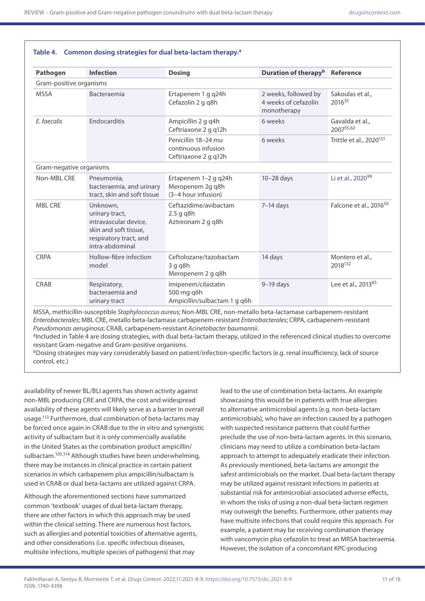| <b>Pathogen</b>         | <b>Infection</b>                                                                                                          | <b>Dosing</b>                                                      | Duration of therapy <sup>b</sup> Reference                  |                                     |
|-------------------------|---------------------------------------------------------------------------------------------------------------------------|--------------------------------------------------------------------|-------------------------------------------------------------|-------------------------------------|
| Gram-positive organisms |                                                                                                                           |                                                                    |                                                             |                                     |
| <b>MSSA</b>             | Bacteraemia                                                                                                               | Ertapenem 1 g q24h<br>Cefazolin 2 g q8h                            | 2 weeks, followed by<br>4 weeks of cefazolin<br>monotherapy | Sakoulas et al.,<br>201635          |
| E. faecalis             | Endocarditis                                                                                                              | Ampicillin 2 g q4h<br>Ceftriaxone 2 g q12h                         | 6 weeks                                                     | Gavalda et al.,<br>200755,62        |
|                         |                                                                                                                           | Penicillin 18-24 mu<br>continuous infusion<br>Ceftriaxone 2 g q12h | 6 weeks                                                     | Trittle et al., 2020 <sup>131</sup> |
| Gram-negative organisms |                                                                                                                           |                                                                    |                                                             |                                     |
| Non-MBL CRE             | Pneumonia,<br>bacteraemia, and urinary<br>tract, skin and soft tissue                                                     | Ertapenem 1-2 g q24h<br>Meropenem 2g q8h<br>(3-4 hour infusion)    | $10-28$ days                                                | Li et al., 2020 <sup>99</sup>       |
| <b>MBL CRE</b>          | Unknown,<br>urinary tract,<br>intravascular device.<br>skin and soft tissue,<br>respiratory tract, and<br>intra-abdominal | Ceftazidime/avibactam<br>$2.5$ g q8h<br>Aztreonam 2 g q8h          | $7-14$ days                                                 | Falcone et al., 2016 <sup>50</sup>  |
| <b>CRPA</b>             | Hollow-fibre infection<br>model                                                                                           | Ceftolozane/tazobactam<br>3qq8h<br>Meropenem 2 g q8h               | 14 days                                                     | Montero et al.,<br>2018132          |
| <b>CRAB</b>             | Respiratory,<br>bacteraemia and<br>urinary tract                                                                          | Imipenem/cilastatin<br>500 mg q6h<br>Ampicillin/sulbactam 1 g q6h  | $9-19$ days                                                 | Lee et al., 2013 <sup>83</sup>      |

#### **Table 4. Common dosing strategies for dual beta-lactam therapy.a**

MSSA, methicillin-susceptible *Staphylococcus aureus*; Non-MBL CRE, non-metallo beta-lactamase carbapenem-resistant *Enterobacterales*; MBL CRE, metallo beta-lactamase carbapenem-resistant *Enterobacterales*; CRPA, carbapenem-resistant *Pseudomonas aeruginosa*; CRAB, carbapenem-resistant *Acinetobacter baumannii*.

<sup>a</sup>Included in Table 4 are dosing strategies, with dual beta-lactam therapy, utilized in the referenced clinical studies to overcome resistant Gram-negative and Gram-positive organisms.

bDosing strategies may vary considerably based on patient/infection-specific factors (e.g. renal insufficiency, lack of source control, etc.)

availability of newer BL/BLI agents has shown activity against non-MBL producing CRE and CRPA, the cost and widespread availability of these agents will likely serve as a barrier in overall usage.113 Furthermore, dual combination of beta-lactams may be forced once again in CRAB due to the in vitro and synergistic activity of sulbactam but it is only commercially available in the United States as the combination product ampicillin/ sulbactam.<sup>105,114</sup> Although studies have been underwhelming, there may be instances in clinical practice in certain patient scenarios in which carbapenem plus ampicillin/sulbactam is used in CRAB or dual beta-lactams are utilized against CRPA.

Although the aforementioned sections have summarized common 'textbook' usages of dual beta-lactam therapy, there are other factors in which this approach may be used within the clinical setting. There are numerous host factors, such as allergies and potential toxicities of alternative agents, and other considerations (i.e. specific infectious diseases, multisite infections, multiple species of pathogens) that may

lead to the use of combination beta-lactams. An example showcasing this would be in patients with true allergies to alternative antimicrobial agents (e.g. non-beta-lactam antimicrobials), who have an infection caused by a pathogen with suspected resistance patterns that could further preclude the use of non-beta-lactam agents. In this scenario, clinicians may need to utilize a combination beta-lactam approach to attempt to adequately eradicate their infection. As previously mentioned, beta-lactams are amongst the safest antimicrobials on the market. Dual beta-lactam therapy may be utilized against resistant infections in patients at substantial risk for antimicrobial-associated adverse effects, in whom the risks of using a non-dual beta-lactam regimen may outweigh the benefits. Furthermore, other patients may have multisite infections that could require this approach. For example, a patient may be receiving combination therapy with vancomycin plus cefazolin to treat an MRSA bacteraemia. However, the isolation of a concomitant KPC-producing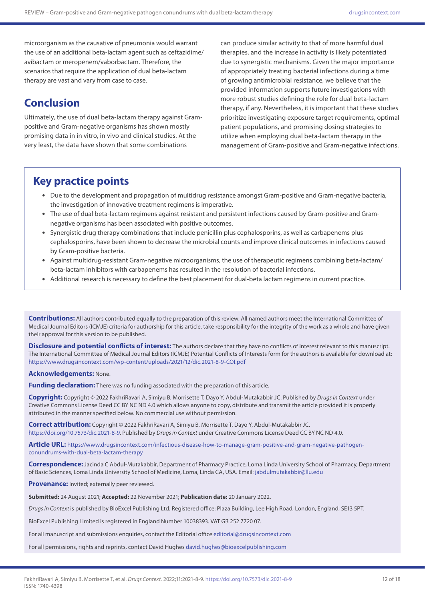microorganism as the causative of pneumonia would warrant the use of an additional beta-lactam agent such as ceftazidime/ avibactam or meropenem/vaborbactam. Therefore, the scenarios that require the application of dual beta-lactam therapy are vast and vary from case to case.

## **Conclusion**

Ultimately, the use of dual beta-lactam therapy against Grampositive and Gram-negative organisms has shown mostly promising data in in vitro, in vivo and clinical studies. At the very least, the data have shown that some combinations

can produce similar activity to that of more harmful dual therapies, and the increase in activity is likely potentiated due to synergistic mechanisms. Given the major importance of appropriately treating bacterial infections during a time of growing antimicrobial resistance, we believe that the provided information supports future investigations with more robust studies defining the role for dual beta-lactam therapy, if any. Nevertheless, it is important that these studies prioritize investigating exposure target requirements, optimal patient populations, and promising dosing strategies to utilize when employing dual beta-lactam therapy in the management of Gram-positive and Gram-negative infections.

## **Key practice points**

- • Due to the development and propagation of multidrug resistance amongst Gram-positive and Gram-negative bacteria, the investigation of innovative treatment regimens is imperative.
- • The use of dual beta-lactam regimens against resistant and persistent infections caused by Gram-positive and Gramnegative organisms has been associated with positive outcomes.
- • Synergistic drug therapy combinations that include penicillin plus cephalosporins, as well as carbapenems plus cephalosporins, have been shown to decrease the microbial counts and improve clinical outcomes in infections caused by Gram-positive bacteria.
- • Against multidrug-resistant Gram-negative microorganisms, the use of therapeutic regimens combining beta-lactam/ beta-lactam inhibitors with carbapenems has resulted in the resolution of bacterial infections.
- • Additional research is necessary to define the best placement for dual-beta lactam regimens in current practice.

**Contributions:** All authors contributed equally to the preparation of this review. All named authors meet the International Committee of Medical Journal Editors (ICMJE) criteria for authorship for this article, take responsibility for the integrity of the work as a whole and have given their approval for this version to be published.

**Disclosure and potential conflicts of interest:** The authors declare that they have no conflicts of interest relevant to this manuscript. The International Committee of Medical Journal Editors (ICMJE) Potential Conflicts of Interests form for the authors is available for download at: <https://www.drugsincontext.com/wp-content/uploads/2021/12/dic.2021-8-9-COI.pdf>

#### **Acknowledgements:** None.

**Funding declaration:** There was no funding associated with the preparation of this article.

**Copyright:** Copyright © 2022 FakhriRavari A, Simiyu B, Morrisette T, Dayo Y, Abdul-Mutakabbir JC. Published by *Drugs in Context* under Creative Commons License Deed CC BY NC ND 4.0 which allows anyone to copy, distribute and transmit the article provided it is properly attributed in the manner specified below. No commercial use without permission.

**Correct attribution:** Copyright © 2022 FakhriRavari A, Simiyu B, Morrisette T, Dayo Y, Abdul-Mutakabbir JC. [https://doi.org/10.7573/dic.2021-8-9.](https://doi.org/10.7573/dic.2021-8-9) Published by *Drugs in Context* under Creative Commons License Deed CC BY NC ND 4.0.

**Article URL:** [https://www.drugsincontext.com/infectious-disease-how-to-manage-gram-positive-and-gram-negative-pathogen](https://www.drugsincontext.com/infectious-disease-how-to-manage-gram-positive-and-gram-negative-pathogen-conundrums-with-dual-beta-lactam-therapy)[conundrums-with-dual-beta-lactam-therapy](https://www.drugsincontext.com/infectious-disease-how-to-manage-gram-positive-and-gram-negative-pathogen-conundrums-with-dual-beta-lactam-therapy)

**Correspondence:** Jacinda C Abdul-Mutakabbir, Department of Pharmacy Practice, Loma Linda University School of Pharmacy, Department of Basic Sciences, Loma Linda University School of Medicine, Loma, Linda CA, USA. Email: [jabdulmutakabbir@llu.edu](mailto:jabdulmutakabbir@llu.edu)

**Provenance:** Invited; externally peer reviewed.

**Submitted:** 24 August 2021; **Accepted:** 22 November 2021; **Publication date:** 20 January 2022.

*Drugs in Context* is published by BioExcel Publishing Ltd. Registered office: Plaza Building, Lee High Road, London, England, SE13 5PT.

BioExcel Publishing Limited is registered in England Number 10038393. VAT GB 252 7720 07.

For all manuscript and submissions enquiries, contact the Editorial office [editorial@drugsincontext.com](mailto:editorial@drugsincontext.com)

For all permissions, rights and reprints, contact David Hughes [david.hughes@bioexcelpublishing.com](mailto:david.hughes@bioexcelpublishing.com)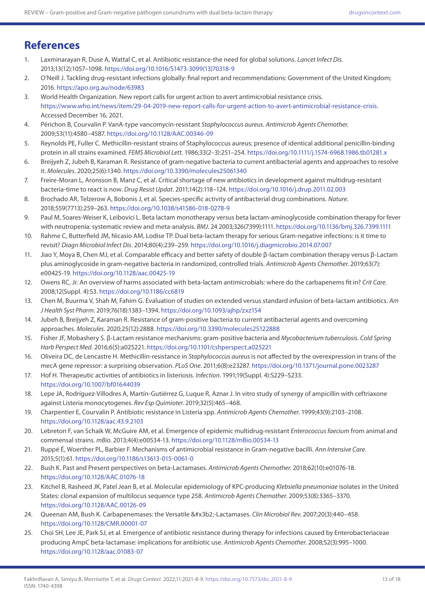## **References**

- 1. Laxminarayan R, Duse A, Wattal C, et al. Antibiotic resistance-the need for global solutions. *Lancet Infect Dis*. 2013;13(12):1057–1098. [https://doi.org/10.1016/S1473-3099\(13\)70318-9](https://doi.org/10.1016/S1473-3099(13)70318-9)
- 2. O'Neill J. Tackling drug-resistant infections globally: final report and recommendations: Government of the United Kingdom; 2016. <https://apo.org.au/node/63983>
- 3. World Health Organization. New report calls for urgent action to avert antimicrobial resistance crisis. <https://www.who.int/news/item/29-04-2019-new-report-calls-for-urgent-action-to-avert-antimicrobial-resistance-crisis>. Accessed December 16, 2021.
- 4. Périchon B, Courvalin P. VanA-type vancomycin-resistant *Staphylococcus aureus*. *Antimicrob Agents Chemother*. 2009;53(11):4580–4587. <https://doi.org/10.1128/AAC.00346-09>
- 5. Reynolds PE, Fuller C. Methicillin-resistant strains of Staphylococcus aureus; presence of identical additional penicillin-binding protein in all strains examined. *FEMS Microbiol Lett*. 1986;33(2–3):251–254. <https://doi.org/10.1111/j.1574-6968.1986.tb01281.x>
- 6. Breijyeh Z, Jubeh B, Karaman R. Resistance of gram-negative bacteria to current antibacterial agents and approaches to resolve it. *Molecules*. 2020;25(6):1340.<https://doi.org/10.3390/molecules25061340>
- 7. Freire-Moran L, Aronsson B, Manz C, et al. Critical shortage of new antibiotics in development against multidrug-resistant bacteria-time to react is now. *Drug Resist Updat*. 2011;14(2):118–124.<https://doi.org/10.1016/j.drup.2011.02.003>
- 8. Brochado AR, Telzerow A, Bobonis J, et al. Species-specific activity of antibacterial drug combinations. *Nature*. 2018;559(7713):259–263.<https://doi.org/10.1038/s41586-018-0278-9>
- 9. Paul M, Soares-Weiser K, Leibovici L. Beta lactam monotherapy versus beta lactam-aminoglycoside combination therapy for fever with neutropenia: systematic review and meta-analysis. *BMJ*. 24 2003;326(7399):1111. <https://doi.org/10.1136/bmj.326.7399.1111>
- 10. Rahme C, Butterfield JM, Nicasio AM, Lodise TP. Dual beta-lactam therapy for serious Gram-negative infections: is it time to revisit? *Diagn Microbiol Infect Dis*. 2014;80(4):239–259.<https://doi.org/10.1016/j.diagmicrobio.2014.07.007>
- 11. Jiao Y, Moya B, Chen MJ, et al. Comparable efficacy and better safety of double β-lactam combination therapy versus β-Lactam plus aminoglycoside in gram-negative bacteria in randomized, controlled trials. *Antimicrob Agents Chemother*. 2019;63(7): e00425-19. <https://doi.org/10.1128/aac.00425-19>
- 12. Owens RC, Jr. An overview of harms associated with beta-lactam antimicrobials: where do the carbapenems fit in? *Crit Care*. 2008;12(Suppl. 4):S3.<https://doi.org/10.1186/cc6819>
- 13. Chen M, Buurma V, Shah M, Fahim G. Evaluation of studies on extended versus standard infusion of beta-lactam antibiotics. *Am J Health Syst Pharm*. 2019;76(18):1383–1394. <https://doi.org/10.1093/ajhp/zxz154>
- 14. Jubeh B, Breijyeh Z, Karaman R. Resistance of gram-positive bacteria to current antibacterial agents and overcoming approaches. *Molecules*. 2020;25(12):2888.<https://doi.org/10.3390/molecules25122888>
- 15. Fisher JF, Mobashery S. β-Lactam resistance mechanisms: gram-positive bacteria and *Mycobacterium tuberculosis*. *Cold Spring Harb Perspect Med*. 2016;6(5):a025221. <https://doi.org/10.1101/cshperspect.a025221>
- 16. Oliveira DC, de Lencastre H. Methicillin-resistance in *Staphylococcus aureus* is not affected by the overexpression in trans of the mecA gene repressor: a surprising observation. *PLoS One*. 2011;6(8):e23287. <https://doi.org/10.1371/journal.pone.0023287>
- 17. Hof H. Therapeutic activities of antibiotics in listeriosis. *Infection*. 1991;19(Suppl. 4):S229–S233. <https://doi.org/10.1007/bf01644039>
- 18. Lepe JA, Rodríguez-Villodres A, Martín-Gutiérrez G, Luque R, Aznar J. In vitro study of synergy of ampicillin with ceftriaxone against Listeria monocytogenes. *Rev Esp Quimioter*. 2019;32(5):465–468.
- 19. Charpentier E, Courvalin P. Antibiotic resistance in Listeria spp. *Antimicrob Agents Chemother*. 1999;43(9):2103–2108. <https://doi.org/10.1128/aac.43.9.2103>
- 20. Lebreton F, van Schaik W, McGuire AM, et al. Emergence of epidemic multidrug-resistant *Enterococcus faecium* from animal and commensal strains. *mBio*. 2013;4(4):e00534-13.<https://doi.org/10.1128/mBio.00534-13>
- 21. Ruppé É, Woerther PL, Barbier F. Mechanisms of antimicrobial resistance in Gram-negative bacilli. *Ann Intensive Care*. 2015;5(1):61. <https://doi.org/10.1186/s13613-015-0061-0>
- 22. Bush K. Past and Present perspectives on beta-Lactamases. *Antimicrob Agents Chemother*. 2018;62(10):e01076-18. <https://doi.org/10.1128/AAC.01076-18>
- 23. Kitchel B, Rasheed JK, Patel Jean B, et al. Molecular epidemiology of KPC-producing *Klebsiella pneumoniae* isolates in the United States: clonal expansion of multilocus sequence type 258. *Antimicrob Agents Chemother*. 2009;53(8):3365–3370. <https://doi.org/10.1128/AAC.00126-09>
- 24. Queenan AM, Bush K. Carbapenemases: the Versatile β-Lactamases. *Clin Microbiol Rev*. 2007;20(3):440–458. <https://doi.org/10.1128/CMR.00001-07>
- 25. Choi SH, Lee JE, Park SJ, et al. Emergence of antibiotic resistance during therapy for infections caused by Enterobacteriaceae producing AmpC beta-lactamase: implications for antibiotic use. *Antimicrob Agents Chemother*. 2008;52(3):995–1000. <https://doi.org/10.1128/aac.01083-07>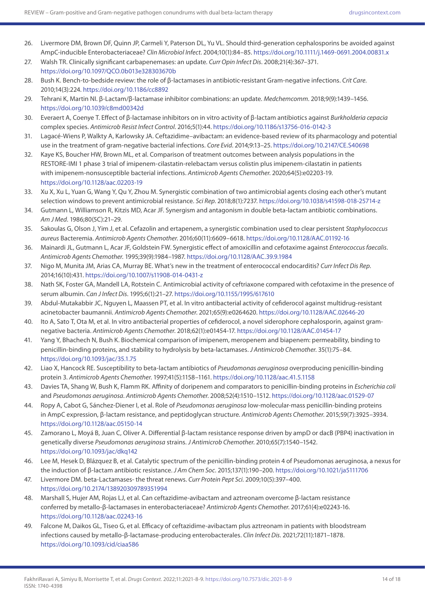- 26. Livermore DM, Brown DF, Quinn JP, Carmeli Y, Paterson DL, Yu VL. Should third-generation cephalosporins be avoided against AmpC-inducible Enterobacteriaceae? *Clin Microbiol Infect*. 2004;10(1):84–85.<https://doi.org/10.1111/j.1469-0691.2004.00831.x>
- 27. Walsh TR. Clinically significant carbapenemases: an update. *Curr Opin Infect Dis*. 2008;21(4):367–371. <https://doi.org/10.1097/QCO.0b013e328303670b>
- 28. Bush K. Bench-to-bedside review: the role of β-lactamases in antibiotic-resistant Gram-negative infections. *Crit Care*. 2010;14(3):224.<https://doi.org/10.1186/cc8892>
- 29. Tehrani K, Martin NI. β-Lactam/β-lactamase inhibitor combinations: an update. *Medchemcomm*. 2018;9(9):1439–1456. <https://doi.org/10.1039/c8md00342d>
- 30. Everaert A, Coenye T. Effect of β-lactamase inhibitors on in vitro activity of β-lactam antibiotics against *Burkholderia cepacia* complex species. *Antimicrob Resist Infect Control*. 2016;5(1):44. <https://doi.org/10.1186/s13756-016-0142-3>
- 31. Lagacé-Wiens P, Walkty A, Karlowsky JA. Ceftazidime–avibactam: an evidence-based review of its pharmacology and potential use in the treatment of gram-negative bacterial infections. *Core Evid*. 2014;9:13–25.<https://doi.org/10.2147/CE.S40698>
- 32. Kaye KS, Boucher HW, Brown ML, et al. Comparison of treatment outcomes between analysis populations in the RESTORE-IMI 1 phase 3 trial of imipenem-cilastatin-relebactam versus colistin plus imipenem-cilastatin in patients with imipenem-nonsusceptible bacterial infections. *Antimicrob Agents Chemother*. 2020;64(5):e02203-19. <https://doi.org/10.1128/aac.02203-19>
- 33. Xu X, Xu L, Yuan G, Wang Y, Qu Y, Zhou M. Synergistic combination of two antimicrobial agents closing each other's mutant selection windows to prevent antimicrobial resistance. *Sci Rep*. 2018;8(1):7237.<https://doi.org/10.1038/s41598-018-25714-z>
- 34. Gutmann L, Williamson R, Kitzis MD, Acar JF. Synergism and antagonism in double beta-lactam antibiotic combinations. *Am J Med*. 1986;80(5C):21–29.
- 35. Sakoulas G, Olson J, Yim J, et al. Cefazolin and ertapenem, a synergistic combination used to clear persistent *Staphylococcus aureus* Bacteremia. *Antimicrob Agents Chemother*. 2016;60(11):6609–6618.<https://doi.org/10.1128/AAC.01192-16>
- 36. Mainardi JL, Gutmann L, Acar JF, Goldstein FW. Synergistic effect of amoxicillin and cefotaxime against *Enterococcus faecalis*. *Antimicrob Agents Chemother*. 1995;39(9):1984–1987. <https://doi.org/10.1128/AAC.39.9.1984>
- 37. Nigo M, Munita JM, Arias CA, Murray BE. What's new in the treatment of enterococcal endocarditis? *Curr Infect Dis Rep*. 2014;16(10):431. <https://doi.org/10.1007/s11908-014-0431-z>
- 38. Nath SK, Foster GA, Mandell LA, Rotstein C. Antimicrobial activity of ceftriaxone compared with cefotaxime in the presence of serum albumin. *Can J Infect Dis*. 1995;6(1):21–27. <https://doi.org/10.1155/1995/617610>
- 39. Abdul-Mutakabbir JC, Nguyen L, Maassen PT, et al. In vitro antibacterial activity of cefiderocol against multidrug-resistant acinetobacter baumannii. *Antimicrob Agents Chemother*. 2021;65(9):e0264620. <https://doi.org/10.1128/AAC.02646-20>
- 40. Ito A, Sato T, Ota M, et al. In vitro antibacterial properties of cefiderocol, a novel siderophore cephalosporin, against gramnegative bacteria. *Antimicrob Agents Chemother*. 2018;62(1):e01454-17.<https://doi.org/10.1128/AAC.01454-17>
- 41. Yang Y, Bhachech N, Bush K. Biochemical comparison of imipenem, meropenem and biapenem: permeability, binding to penicillin-binding proteins, and stability to hydrolysis by beta-lactamases. *J Antimicrob Chemother*. 35(1):75–84. <https://doi.org/10.1093/jac/35.1.75>
- 42. Liao X, Hancock RE. Susceptibility to beta-lactam antibiotics of *Pseudomonas aeruginosa* overproducing penicillin-binding protein 3. *Antimicrob Agents Chemother*. 1997;41(5):1158–1161. <https://doi.org/10.1128/aac.41.5.1158>
- 43. Davies TA, Shang W, Bush K, Flamm RK. Affinity of doripenem and comparators to penicillin-binding proteins in *Escherichia coli* and *Pseudomonas aeruginosa*. *Antimicrob Agents Chemother*. 2008;52(4):1510–1512.<https://doi.org/10.1128/aac.01529-07>
- 44. Ropy A, Cabot G, Sánchez-Diener I, et al. Role of *Pseudomonas aeruginosa* low-molecular-mass penicillin-binding proteins in AmpC expression, β-lactam resistance, and peptidoglycan structure. *Antimicrob Agents Chemother*. 2015;59(7):3925–3934. <https://doi.org/10.1128/aac.05150-14>
- 45. Zamorano L, Moyá B, Juan C, Oliver A. Differential β-lactam resistance response driven by ampD or dacB (PBP4) inactivation in genetically diverse *Pseudomonas aeruginosa* strains. *J Antimicrob Chemother*. 2010;65(7):1540–1542. <https://doi.org/10.1093/jac/dkq142>
- 46. Lee M, Hesek D, Blázquez B, et al. Catalytic spectrum of the penicillin-binding protein 4 of Pseudomonas aeruginosa, a nexus for the induction of β-lactam antibiotic resistance. *J Am Chem Soc*. 2015;137(1):190–200.<https://doi.org/10.1021/ja5111706>
- 47. Livermore DM. beta-Lactamases- the threat renews. *Curr Protein Pept Sci*. 2009;10(5):397–400. <https://doi.org/10.2174/138920309789351994>
- 48. Marshall S, Hujer AM, Rojas LJ, et al. Can ceftazidime-avibactam and aztreonam overcome β-lactam resistance conferred by metallo-β-lactamases in enterobacteriaceae? *Antimicrob Agents Chemother*. 2017;61(4):e02243-16. <https://doi.org/10.1128/aac.02243-16>
- 49. Falcone M, Daikos GL, Tiseo G, et al. Efficacy of ceftazidime-avibactam plus aztreonam in patients with bloodstream infections caused by metallo-β-lactamase-producing enterobacterales. *Clin Infect Dis*. 2021;72(11):1871–1878. <https://doi.org/10.1093/cid/ciaa586>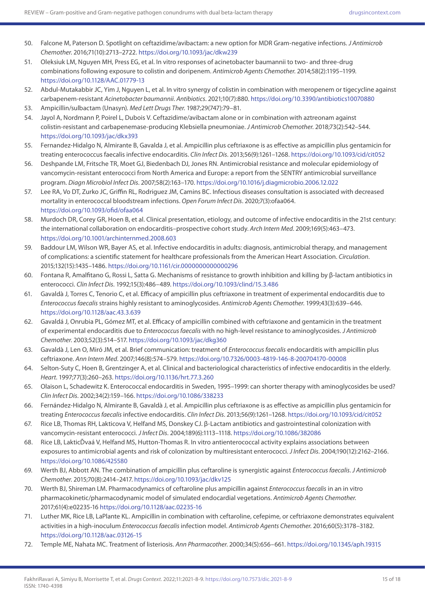- 50. Falcone M, Paterson D. Spotlight on ceftazidime/avibactam: a new option for MDR Gram-negative infections. *J Antimicrob Chemother*. 2016;71(10):2713–2722.<https://doi.org/10.1093/jac/dkw239>
- 51. Oleksiuk LM, Nguyen MH, Press EG, et al. In vitro responses of acinetobacter baumannii to two- and three-drug combinations following exposure to colistin and doripenem. *Antimicrob Agents Chemother*. 2014;58(2):1195–1199. <https://doi.org/10.1128/AAC.01779-13>
- 52. Abdul-Mutakabbir JC, Yim J, Nguyen L, et al. In vitro synergy of colistin in combination with meropenem or tigecycline against carbapenem-resistant *Acinetobacter baumannii*. *Antibiotics*. 2021;10(7):880.<https://doi.org/10.3390/antibiotics10070880>
- 53. Ampicillin/sulbactam (Unasyn). *Med Lett Drugs Ther*. 1987;29(747):79–81.
- 54. Jayol A, Nordmann P, Poirel L, Dubois V. Ceftazidime/avibactam alone or in combination with aztreonam against colistin-resistant and carbapenemase-producing Klebsiella pneumoniae. *J Antimicrob Chemother*. 2018;73(2):542–544. <https://doi.org/10.1093/jac/dkx393>
- 55. Fernandez-Hidalgo N, Almirante B, Gavalda J, et al. Ampicillin plus ceftriaxone is as effective as ampicillin plus gentamicin for treating enterococcus faecalis infective endocarditis. *Clin Infect Dis*. 2013;56(9):1261–1268.<https://doi.org/10.1093/cid/cit052>
- 56. Deshpande LM, Fritsche TR, Moet GJ, Biedenbach DJ, Jones RN. Antimicrobial resistance and molecular epidemiology of vancomycin-resistant enterococci from North America and Europe: a report from the SENTRY antimicrobial surveillance program. *Diagn Microbiol Infect Dis*. 2007;58(2):163–170.<https://doi.org/10.1016/j.diagmicrobio.2006.12.022>
- 57. Lee RA, Vo DT, Zurko JC, Griffin RL, Rodriguez JM, Camins BC. Infectious diseases consultation is associated with decreased mortality in enterococcal bloodstream infections. *Open Forum Infect Dis*. 2020;7(3):ofaa064. <https://doi.org/10.1093/ofid/ofaa064>
- 58. Murdoch DR, Corey GR, Hoen B, et al. Clinical presentation, etiology, and outcome of infective endocarditis in the 21st century: the international collaboration on endocarditis–prospective cohort study. *Arch Intern Med*. 2009;169(5):463–473. <https://doi.org/10.1001/archinternmed.2008.603>
- 59. Baddour LM, Wilson WR, Bayer AS, et al. Infective endocarditis in adults: diagnosis, antimicrobial therapy, and management of complications: a scientific statement for healthcare professionals from the American Heart Association. *Circulation*. 2015;132(15):1435–1486. <https://doi.org/10.1161/cir.0000000000000296>
- 60. Fontana R, Amalfitano G, Rossi L, Satta G. Mechanisms of resistance to growth inhibition and killing by β-lactam antibiotics in enterococci. *Clin Infect Dis*. 1992;15(3):486–489.<https://doi.org/10.1093/clind/15.3.486>
- 61. Gavaldà J, Torres C, Tenorio C, et al. Efficacy of ampicillin plus ceftriaxone in treatment of experimental endocarditis due to *Enterococcus faecalis* strains highly resistant to aminoglycosides. *Antimicrob Agents Chemother*. 1999;43(3):639–646. <https://doi.org/10.1128/aac.43.3.639>
- 62. Gavaldá J, Onrubia PL, Gómez MT, et al. Efficacy of ampicillin combined with ceftriaxone and gentamicin in the treatment of experimental endocarditis due to *Enterococcus faecalis* with no high-level resistance to aminoglycosides. *J Antimicrob Chemother*. 2003;52(3):514–517. <https://doi.org/10.1093/jac/dkg360>
- 63. Gavaldà J, Len O, Miró JM, et al. Brief communication: treatment of *Enterococcus faecalis* endocarditis with ampicillin plus ceftriaxone. *Ann Intern Med*. 2007;146(8):574–579.<https://doi.org/10.7326/0003-4819-146-8-200704170-00008>
- 64. Selton-Suty C, Hoen B, Grentzinger A, et al. Clinical and bacteriological characteristics of infective endocarditis in the elderly. *Heart*. 1997;77(3):260–263. <https://doi.org/10.1136/hrt.77.3.260>
- 65. Olaison L, Schadewitz K. Enterococcal endocarditis in Sweden, 1995–1999: can shorter therapy with aminoglycosides be used? *Clin Infect Dis*. 2002;34(2):159–166.<https://doi.org/10.1086/338233>
- 66. Fernández-Hidalgo N, Almirante B, Gavaldà J, et al. Ampicillin plus ceftriaxone is as effective as ampicillin plus gentamicin for treating *Enterococcus faecalis* infective endocarditis. *Clin Infect Dis*. 2013;56(9):1261–1268.<https://doi.org/10.1093/cid/cit052>
- 67. Rice LB, Thomas RH, Lakticova V, Helfand MS, Donskey CJ. β-Lactam antibiotics and gastrointestinal colonization with vancomycin-resistant enterococci. *J Infect Dis*. 2004;189(6):1113–1118.<https://doi.org/10.1086/382086>
- 68. Rice LB, LakticĎvaá V, Helfand MS, Hutton-Thomas R. In vitro antienterococcal activity explains associations between exposures to antimicrobial agents and risk of colonization by multiresistant enterococci. *J Infect Dis*. 2004;190(12):2162–2166. <https://doi.org/10.1086/425580>
- 69. Werth BJ, Abbott AN. The combination of ampicillin plus ceftaroline is synergistic against *Enterococcus faecalis*. *J Antimicrob Chemother*. 2015;70(8):2414–2417.<https://doi.org/10.1093/jac/dkv125>
- 70. Werth BJ, Shireman LM. Pharmacodynamics of ceftaroline plus ampicillin against *Enterococcus faecalis* in an in vitro pharmacokinetic/pharmacodynamic model of simulated endocardial vegetations. *Antimicrob Agents Chemother*. 2017;61(4):e02235-16<https://doi.org/10.1128/aac.02235-16>
- 71. Luther MK, Rice LB, LaPlante KL. Ampicillin in combination with ceftaroline, cefepime, or ceftriaxone demonstrates equivalent activities in a high-inoculum *Enterococcus faecalis* infection model. *Antimicrob Agents Chemother*. 2016;60(5):3178–3182. <https://doi.org/10.1128/aac.03126-15>
- 72. Temple ME, Nahata MC. Treatment of listeriosis. *Ann Pharmacother*. 2000;34(5):656–661.<https://doi.org/10.1345/aph.19315>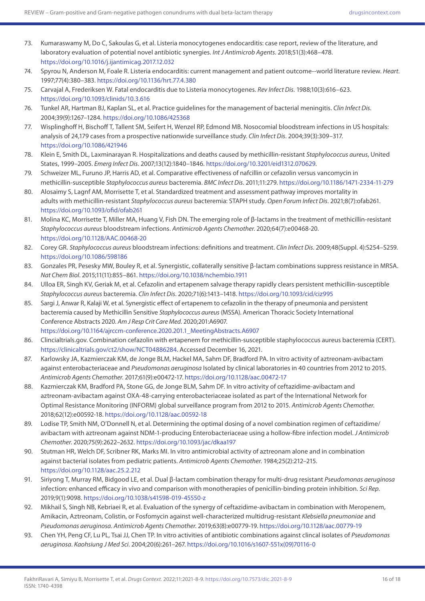- 73. Kumaraswamy M, Do C, Sakoulas G, et al. Listeria monocytogenes endocarditis: case report, review of the literature, and laboratory evaluation of potential novel antibiotic synergies. *Int J Antimicrob Agents*. 2018;51(3):468–478. <https://doi.org/10.1016/j.ijantimicag.2017.12.032>
- 74. Spyrou N, Anderson M, Foale R. Listeria endocarditis: current management and patient outcome--world literature review. *Heart*. 1997;77(4):380–383.<https://doi.org/10.1136/hrt.77.4.380>
- 75. Carvajal A, Frederiksen W. Fatal endocarditis due to Listeria monocytogenes. *Rev Infect Dis*. 1988;10(3):616–623. <https://doi.org/10.1093/clinids/10.3.616>
- 76. Tunkel AR, Hartman BJ, Kaplan SL, et al. Practice guidelines for the management of bacterial meningitis. *Clin Infect Dis*. 2004;39(9):1267–1284.<https://doi.org/10.1086/425368>
- 77. Wisplinghoff H, Bischoff T, Tallent SM, Seifert H, Wenzel RP, Edmond MB. Nosocomial bloodstream infections in US hospitals: analysis of 24,179 cases from a prospective nationwide surveillance study. *Clin Infect Dis*. 2004;39(3):309–317. <https://doi.org/10.1086/421946>
- 78. Klein E, Smith DL, Laxminarayan R. Hospitalizations and deaths caused by methicillin-resistant *Staphylococcus aureus*, United States, 1999–2005. *Emerg Infect Dis*. 2007;13(12):1840–1846. [https://doi.org/10.3201/eid1312.070629.](https://doi.org/10.3201/eid1312.070629)
- 79. Schweizer ML, Furuno JP, Harris AD, et al. Comparative effectiveness of nafcillin or cefazolin versus vancomycin in methicillin-susceptible *Staphylococcus aureus* bacteremia. *BMC Infect Dis*. 2011;11:279.<https://doi.org/10.1186/1471-2334-11-279>
- 80. Alosaimy S, Lagnf AM, Morrisette T, et al. Standardized treatment and assessment pathway improves mortality in adults with methicillin-resistant *Staphylococcus aureus* bacteremia: STAPH study. *Open Forum Infect Dis*. 2021;8(7):ofab261. <https://doi.org/10.1093/ofid/ofab261>
- 81. Molina KC, Morrisette T, Miller MA, Huang V, Fish DN. The emerging role of β-lactams in the treatment of methicillin-resistant *Staphylococcus aureus* bloodstream infections. *Antimicrob Agents Chemother*. 2020;64(7):e00468-20. <https://doi.org/10.1128/AAC.00468-20>
- 82. Corey GR. *Staphylococcus aureus* bloodstream infections: definitions and treatment. *Clin Infect Dis*. 2009;48(Suppl. 4):S254–S259. <https://doi.org/10.1086/598186>
- 83. Gonzales PR, Pesesky MW, Bouley R, et al. Synergistic, collaterally sensitive β-lactam combinations suppress resistance in MRSA. *Nat Chem Biol*. 2015;11(11):855–861. <https://doi.org/10.1038/nchembio.1911>
- 84. Ulloa ER, Singh KV, Geriak M, et al. Cefazolin and ertapenem salvage therapy rapidly clears persistent methicillin-susceptible *Staphylococcus aureus* bacteremia. *Clin Infect Dis*. 2020;71(6):1413–1418.<https://doi.org/10.1093/cid/ciz995>
- 85. Sargi J, Anwar R, Kalaji W, et al. Synergistic effect of ertapenem to cefazolin in the therapy of pneumonia and persistent bacteremia caused by Methicillin Sensitive *Staphylococcus aureus* (MSSA). American Thoracic Society International Conference Abstracts 2020. *Am J Resp Crit Care Med*. 2020;201:A6907. [https://doi.org/10.1164/ajrccm-conference.2020.201.1\\_MeetingAbstracts.A6907](https://doi.org/10.1164/ajrccm-conference.2020.201.1_MeetingAbstracts.A6907)
- 86. Clincialtrials.gov. Combination cefazolin with ertapenem for methicillin-susceptible staphylococcus aureus bacteremia (CERT). [https://clinicaltrials.gov/ct2/show/NCT04886284.](https://clinicaltrials.gov/ct2/show/NCT04886284) Accessed December 16, 2021.
- 87. Karlowsky JA, Kazmierczak KM, de Jonge BLM, Hackel MA, Sahm DF, Bradford PA. In vitro activity of aztreonam-avibactam against enterobacteriaceae and *Pseudomonas aeruginosa* Isolated by clinical laboratories in 40 countries from 2012 to 2015. *Antimicrob Agents Chemother*. 2017;61(9):e00472-17. <https://doi.org/10.1128/aac.00472-17>
- 88. Kazmierczak KM, Bradford PA, Stone GG, de Jonge BLM, Sahm DF. In vitro activity of ceftazidime-avibactam and aztreonam-avibactam against OXA-48-carrying enterobacteriaceae isolated as part of the International Network for Optimal Resistance Monitoring (INFORM) global surveillance program from 2012 to 2015. *Antimicrob Agents Chemother*. 2018;62(12):e00592-18.<https://doi.org/10.1128/aac.00592-18>
- 89. Lodise TP, Smith NM, O'Donnell N, et al. Determining the optimal dosing of a novel combination regimen of ceftazidime/ avibactam with aztreonam against NDM-1-producing Enterobacteriaceae using a hollow-fibre infection model. *J Antimicrob Chemother*. 2020;75(9):2622–2632.<https://doi.org/10.1093/jac/dkaa197>
- 90. Stutman HR, Welch DF, Scribner RK, Marks MI. In vitro antimicrobial activity of aztreonam alone and in combination against bacterial isolates from pediatric patients. *Antimicrob Agents Chemother*. 1984;25(2):212–215. <https://doi.org/10.1128/aac.25.2.212>
- 91. Siriyong T, Murray RM, Bidgood LE, et al. Dual β-lactam combination therapy for multi-drug resistant *Pseudomonas aeruginosa* infection: enhanced efficacy in vivo and comparison with monotherapies of penicillin-binding protein inhibition. *Sci Rep*. 2019;9(1):9098.<https://doi.org/10.1038/s41598-019-45550-z>
- 92. Mikhail S, Singh NB, Kebriaei R, et al. Evaluation of the synergy of ceftazidime-avibactam in combination with Meropenem, Amikacin, Aztreonam, Colistin, or Fosfomycin against well-characterized multidrug-resistant *Klebsiella pneumoniae* and *Pseudomonas aeruginosa*. *Antimicrob Agents Chemother*. 2019;63(8):e00779-19. <https://doi.org/10.1128/aac.00779-19>
- 93. Chen YH, Peng CF, Lu PL, Tsai JJ, Chen TP. In vitro activities of antibiotic combinations against clincal isolates of *Pseudomonas aeruginosa*. *Kaohsiung J Med Sci*. 2004;20(6):261–267. [https://doi.org/10.1016/s1607-551x\(09\)70116-0](https://doi.org/10.1016/s1607-551x(09)70116-0)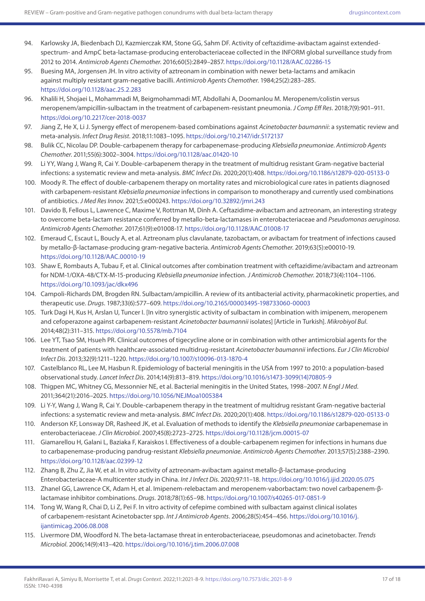- 94. Karlowsky JA, Biedenbach DJ, Kazmierczak KM, Stone GG, Sahm DF. Activity of ceftazidime-avibactam against extendedspectrum- and AmpC beta-lactamase-producing enterobacteriaceae collected in the INFORM global surveillance study from 2012 to 2014. *Antimicrob Agents Chemother*. 2016;60(5):2849–2857. <https://doi.org/10.1128/AAC.02286-15>
- 95. Buesing MA, Jorgensen JH. In vitro activity of aztreonam in combination with newer beta-lactams and amikacin against multiply resistant gram-negative bacilli. *Antimicrob Agents Chemother*. 1984;25(2):283–285. <https://doi.org/10.1128/aac.25.2.283>
- 96. Khalili H, Shojaei L, Mohammadi M, Beigmohammadi MT, Abdollahi A, Doomanlou M. Meropenem/colistin versus meropenem/ampicillin-sulbactam in the treatment of carbapenem-resistant pneumonia. *J Comp Eff Res*. 2018;7(9):901–911. <https://doi.org/10.2217/cer-2018-0037>
- 97. Jiang Z, He X, Li J. Synergy effect of meropenem-based combinations against *Acinetobacter baumannii*: a systematic review and meta-analysis. *Infect Drug Resist*. 2018;11:1083–1095. <https://doi.org/10.2147/idr.S172137>
- 98. Bulik CC, Nicolau DP. Double-carbapenem therapy for carbapenemase-producing *Klebsiella pneumoniae*. *Antimicrob Agents Chemother*. 2011;55(6):3002–3004.<https://doi.org/10.1128/aac.01420-10>
- 99. Li YY, Wang J, Wang R, Cai Y. Double-carbapenem therapy in the treatment of multidrug resistant Gram-negative bacterial infections: a systematic review and meta-analysis. *BMC Infect Dis*. 2020;20(1):408.<https://doi.org/10.1186/s12879-020-05133-0>
- 100. Moody R. The effect of double-carbapenem therapy on mortality rates and microbiological cure rates in patients diagnosed with carbapenem-resistant *Klebsiella pneumoniae* infections in comparison to monotherapy and currently used combinations of antibiotics. *J Med Res Innov*. 2021;5:e000243.<https://doi.org/10.32892/jmri.243>
- 101. Davido B, Fellous L, Lawrence C, Maxime V, Rottman M, Dinh A. Ceftazidime-avibactam and aztreonam, an interesting strategy to overcome beta-lactam resistance conferred by metallo-beta-lactamases in enterobacteriaceae and *Pseudomonas aeruginosa*. *Antimicrob Agents Chemother*. 2017;61(9):e01008-17. <https://doi.org/10.1128/AAC.01008-17>
- 102. Emeraud C, Escaut L, Boucly A, et al. Aztreonam plus clavulanate, tazobactam, or avibactam for treatment of infections caused by metallo-β-lactamase-producing gram-negative bacteria. *Antimicrob Agents Chemother*. 2019;63(5):e00010-19. <https://doi.org/10.1128/AAC.00010-19>
- 103. Shaw E, Rombauts A, Tubau F, et al. Clinical outcomes after combination treatment with ceftazidime/avibactam and aztreonam for NDM-1/OXA-48/CTX-M-15-producing *Klebsiella pneumoniae* infection. *J Antimicrob Chemother*. 2018;73(4):1104–1106. <https://doi.org/10.1093/jac/dkx496>
- 104. Campoli-Richards DM, Brogden RN. Sulbactam/ampicillin. A review of its antibacterial activity, pharmacokinetic properties, and therapeutic use. *Drugs*. 1987;33(6):577–609. <https://doi.org/10.2165/00003495-198733060-00003>
- 105. Turk Dagi H, Kus H, Arslan U, Tuncer I. [In vitro synergistic activity of sulbactam in combination with imipenem, meropenem and cefoperazone against carbapenem-resistant *Acinetobacter baumannii* isolates] [Article in Turkish]. *Mikrobiyol Bul*. 2014;48(2):311–315.<https://doi.org/10.5578/mb.7104>
- 106. Lee YT, Tsao SM, Hsueh PR. Clinical outcomes of tigecycline alone or in combination with other antimicrobial agents for the treatment of patients with healthcare-associated multidrug-resistant *Acinetobacter baumannii* infections. *Eur J Clin Microbiol Infect Dis*. 2013;32(9):1211–1220. <https://doi.org/10.1007/s10096-013-1870-4>
- 107. Castelblanco RL, Lee M, Hasbun R. Epidemiology of bacterial meningitis in the USA from 1997 to 2010: a population-based observational study. *Lancet Infect Dis*. 2014;14(9):813–819. [https://doi.org/10.1016/s1473-3099\(14\)70805-9](https://doi.org/10.1016/s1473-3099(14)70805-9)
- 108. Thigpen MC, Whitney CG, Messonnier NE, et al. Bacterial meningitis in the United States, 1998–2007. *N Engl J Med*. 2011;364(21):2016–2025.<https://doi.org/10.1056/NEJMoa1005384>
- 109. Li Y-Y, Wang J, Wang R, Cai Y. Double-carbapenem therapy in the treatment of multidrug resistant Gram-negative bacterial infections: a systematic review and meta-analysis. *BMC Infect Dis*. 2020;20(1):408.<https://doi.org/10.1186/s12879-020-05133-0>
- 110. Anderson KF, Lonsway DR, Rasheed JK, et al. Evaluation of methods to identify the *Klebsiella pneumoniae* carbapenemase in enterobacteriaceae. *J Clin Microbiol*. 2007;45(8):2723–2725.<https://doi.org/10.1128/jcm.00015-07>
- 111. Giamarellou H, Galani L, Baziaka F, Karaiskos I. Effectiveness of a double-carbapenem regimen for infections in humans due to carbapenemase-producing pandrug-resistant *Klebsiella pneumoniae*. *Antimicrob Agents Chemother*. 2013;57(5):2388–2390. <https://doi.org/10.1128/aac.02399-12>
- 112. Zhang B, Zhu Z, Jia W, et al. In vitro activity of aztreonam-avibactam against metallo-β-lactamase-producing Enterobacteriaceae-A multicenter study in China. *Int J Infect Dis*. 2020;97:11–18.<https://doi.org/10.1016/j.ijid.2020.05.075>
- 113. Zhanel GG, Lawrence CK, Adam H, et al. Imipenem-relebactam and meropenem-vaborbactam: two novel carbapenem-βlactamase inhibitor combinations. *Drugs*. 2018;78(1):65–98. <https://doi.org/10.1007/s40265-017-0851-9>
- 114. Tong W, Wang R, Chai D, Li Z, Pei F. In vitro activity of cefepime combined with sulbactam against clinical isolates of carbapenem-resistant Acinetobacter spp. *Int J Antimicrob Agents*. 2006;28(5):454–456. [https://doi.org/10.1016/j.](https://doi.org/10.1016/j.ijantimicag.2006.08.008) [ijantimicag.2006.08.008](https://doi.org/10.1016/j.ijantimicag.2006.08.008)
- 115. Livermore DM, Woodford N. The beta-lactamase threat in enterobacteriaceae, pseudomonas and acinetobacter. *Trends Microbiol*. 2006;14(9):413–420. <https://doi.org/10.1016/j.tim.2006.07.008>